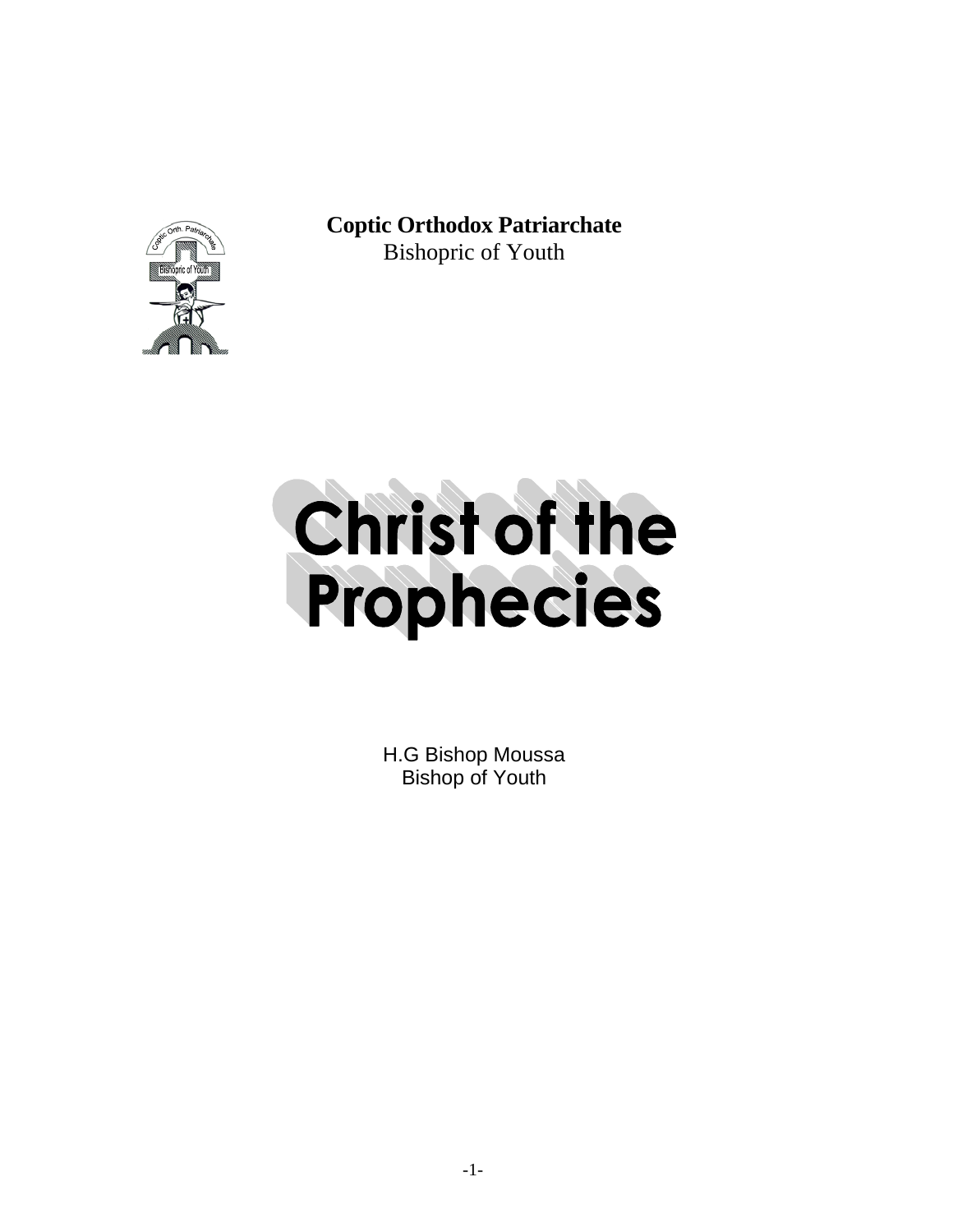

**Coptic Orthodox Patriarchate** Bishopric of Youth



H.G Bishop Moussa Bishop of Youth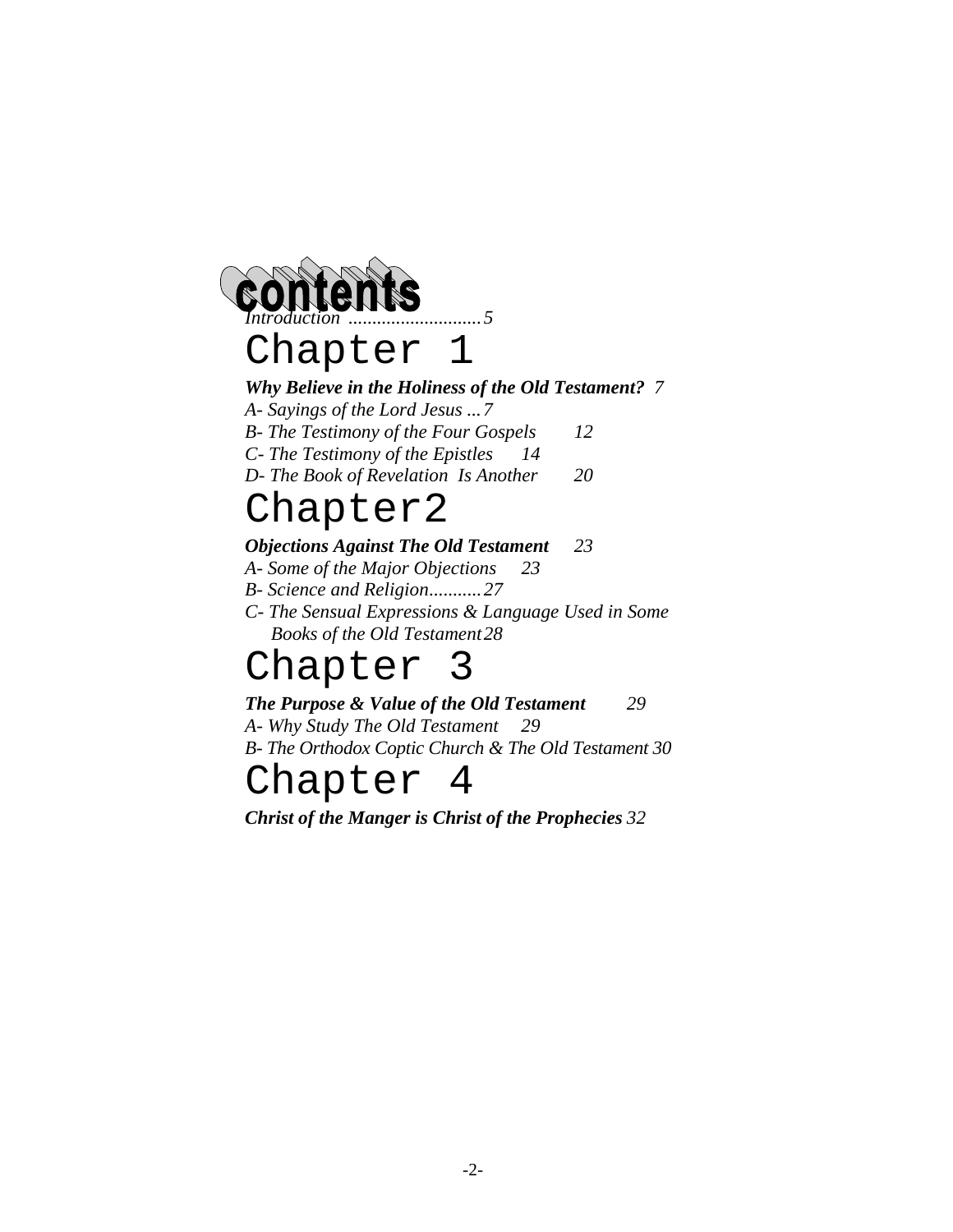



# *Why Believe in the Holiness of the Old Testament? 7*

*A- Sayings of the Lord Jesus ...7* 

- *B- The Testimony of the Four Gospels 12 C- The Testimony of the Epistles 14*
- *D- The Book of Revelation Is Another 20*

# Chapter2

# *Objections Against The Old Testament 23*

- *A- Some of the Major Objections 23*
- *B- Science and Religion...........27*
- *C- The Sensual Expressions & Language Used in Some Books of the Old Testament28*

# Chapter 3

# *The Purpose & Value of the Old Testament 29*

*A- Why Study The Old Testament 29 B- The Orthodox Coptic Church & The Old Testament 30* 

# Chapter 4

*Christ of the Manger is Christ of the Prophecies 32*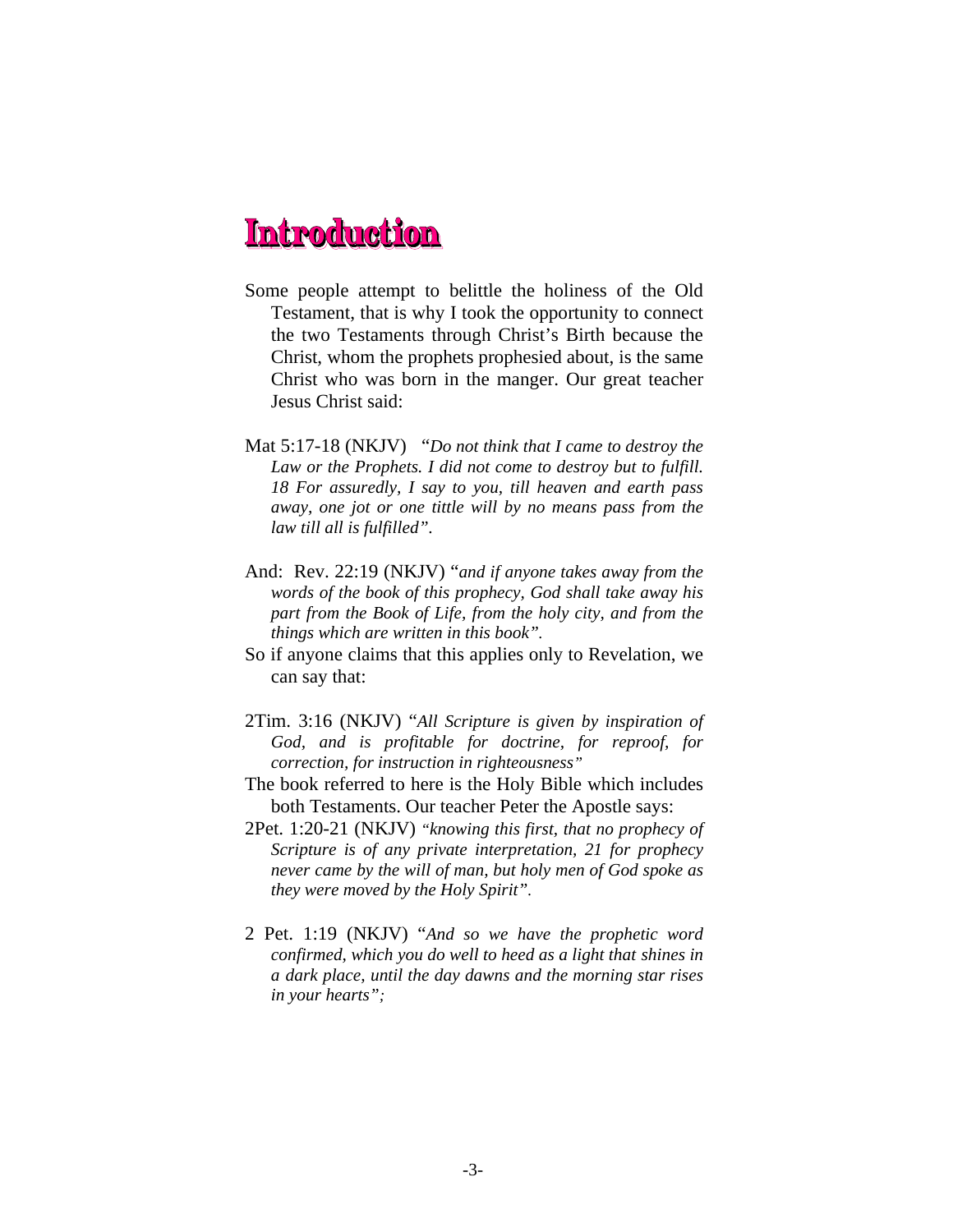- Some people attempt to belittle the holiness of the Old Testament, that is why I took the opportunity to connect the two Testaments through Christ's Birth because the Christ, whom the prophets prophesied about, is the same Christ who was born in the manger. Our great teacher Jesus Christ said:
- Mat 5:17-18 (NKJV) "*Do not think that I came to destroy the Law or the Prophets. I did not come to destroy but to fulfill. 18 For assuredly, I say to you, till heaven and earth pass away, one jot or one tittle will by no means pass from the law till all is fulfilled".*
- And: Rev. 22:19 (NKJV) "*and if anyone takes away from the words of the book of this prophecy, God shall take away his part from the Book of Life, from the holy city, and from the things which are written in this book".*
- So if anyone claims that this applies only to Revelation, we can say that:
- 2Tim. 3:16 (NKJV) "*All Scripture is given by inspiration of God, and is profitable for doctrine, for reproof, for correction, for instruction in righteousness"*
- The book referred to here is the Holy Bible which includes both Testaments. Our teacher Peter the Apostle says:
- 2Pet. 1:20-21 (NKJV) *"knowing this first, that no prophecy of Scripture is of any private interpretation, 21 for prophecy never came by the will of man, but holy men of God spoke as they were moved by the Holy Spirit".*
- 2 Pet. 1:19 (NKJV) "*And so we have the prophetic word confirmed, which you do well to heed as a light that shines in a dark place, until the day dawns and the morning star rises in your hearts";*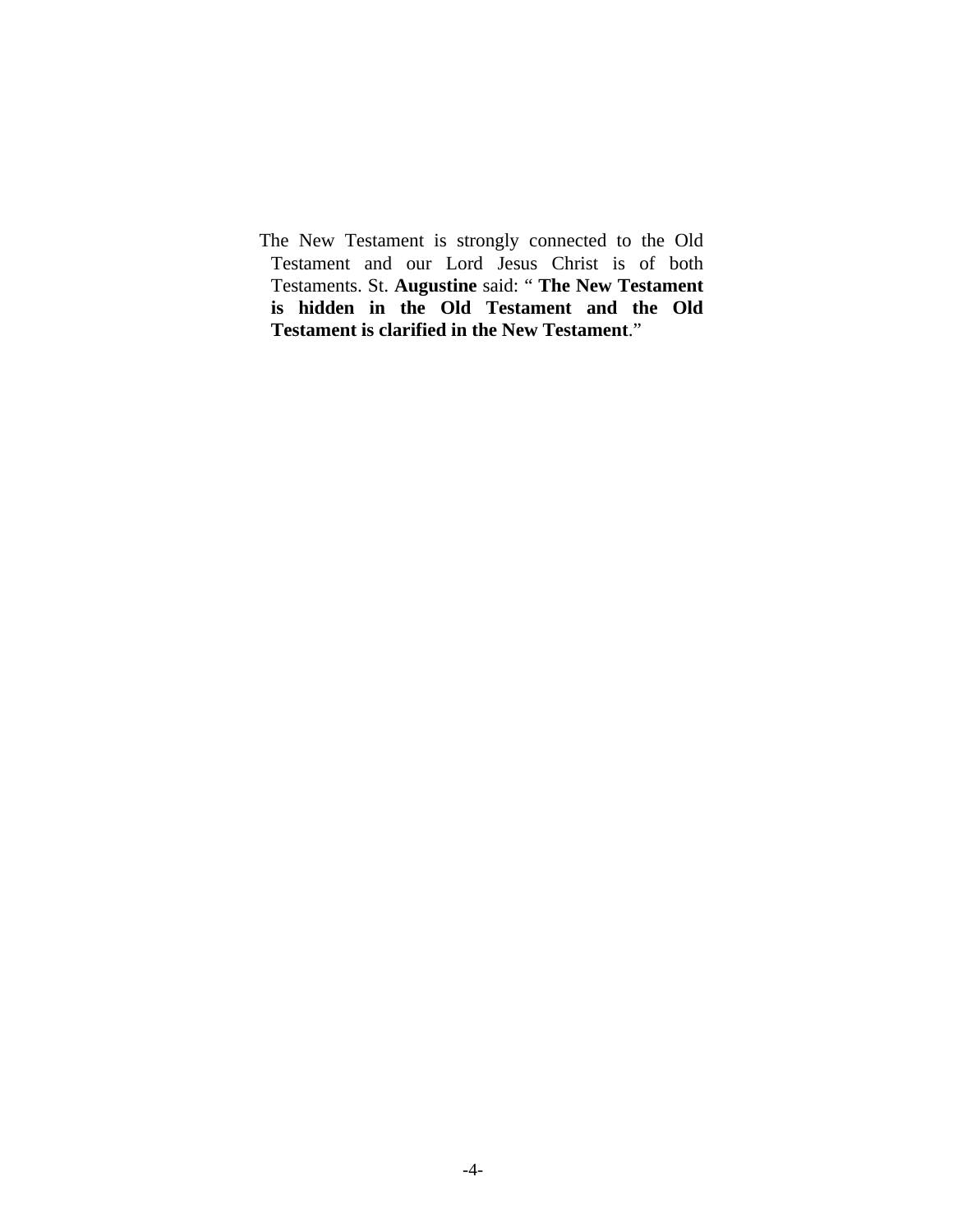The New Testament is strongly connected to the Old Testament and our Lord Jesus Christ is of both Testaments. St. **Augustine** said: " **The New Testament is hidden in the Old Testament and the Old Testament is clarified in the New Testament**."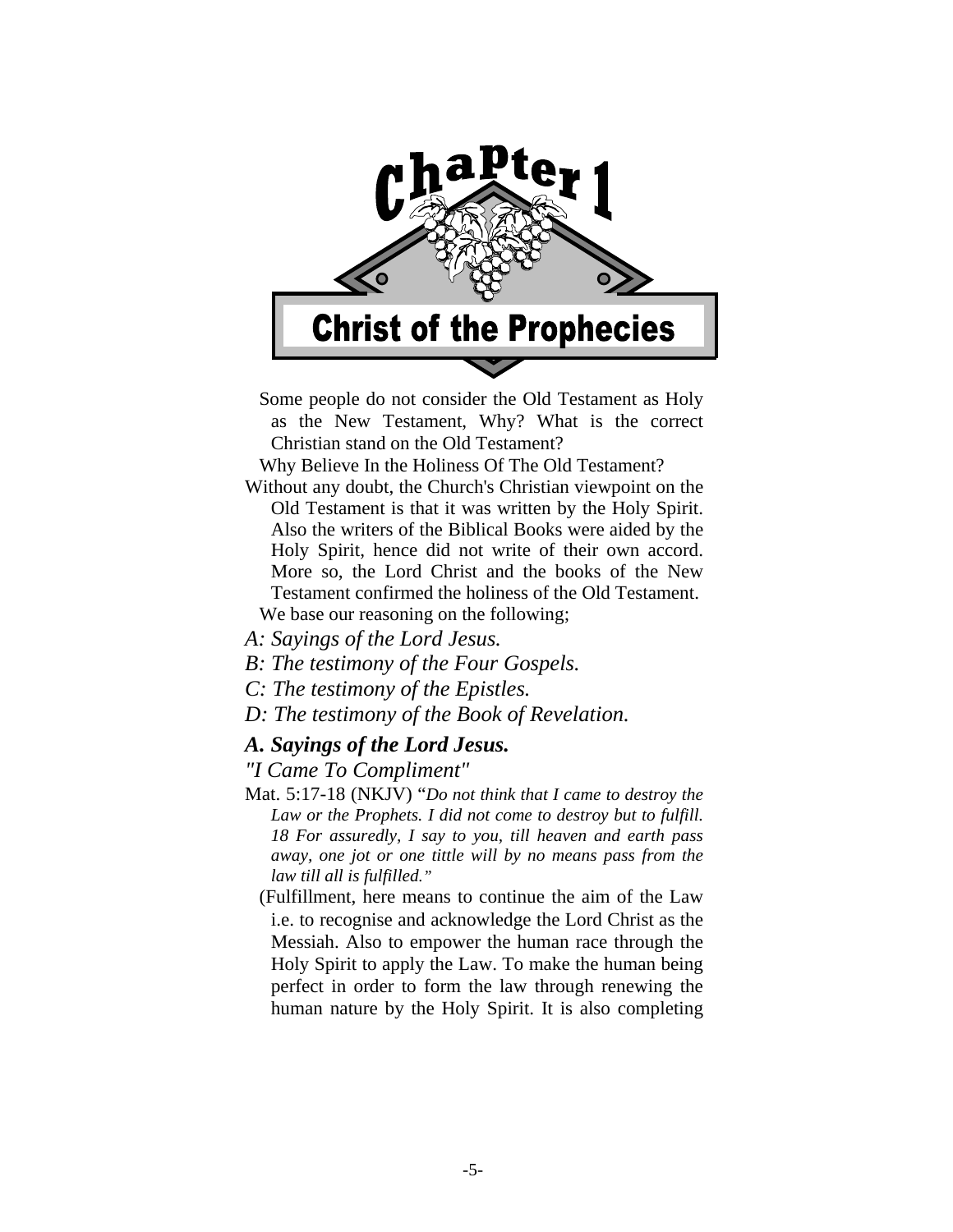

 Some people do not consider the Old Testament as Holy as the New Testament, Why? What is the correct Christian stand on the Old Testament?

Why Believe In the Holiness Of The Old Testament?

Without any doubt, the Church's Christian viewpoint on the Old Testament is that it was written by the Holy Spirit. Also the writers of the Biblical Books were aided by the Holy Spirit, hence did not write of their own accord. More so, the Lord Christ and the books of the New Testament confirmed the holiness of the Old Testament.

We base our reasoning on the following;

- *A: Sayings of the Lord Jesus.*
- *B: The testimony of the Four Gospels.*
- *C: The testimony of the Epistles.*
- *D: The testimony of the Book of Revelation.*

# *A. Sayings of the Lord Jesus.*

# *"I Came To Compliment"*

Mat. 5:17-18 (NKJV) "*Do not think that I came to destroy the Law or the Prophets. I did not come to destroy but to fulfill. 18 For assuredly, I say to you, till heaven and earth pass away, one jot or one tittle will by no means pass from the law till all is fulfilled."* 

 (Fulfillment, here means to continue the aim of the Law i.e. to recognise and acknowledge the Lord Christ as the Messiah. Also to empower the human race through the Holy Spirit to apply the Law. To make the human being perfect in order to form the law through renewing the human nature by the Holy Spirit. It is also completing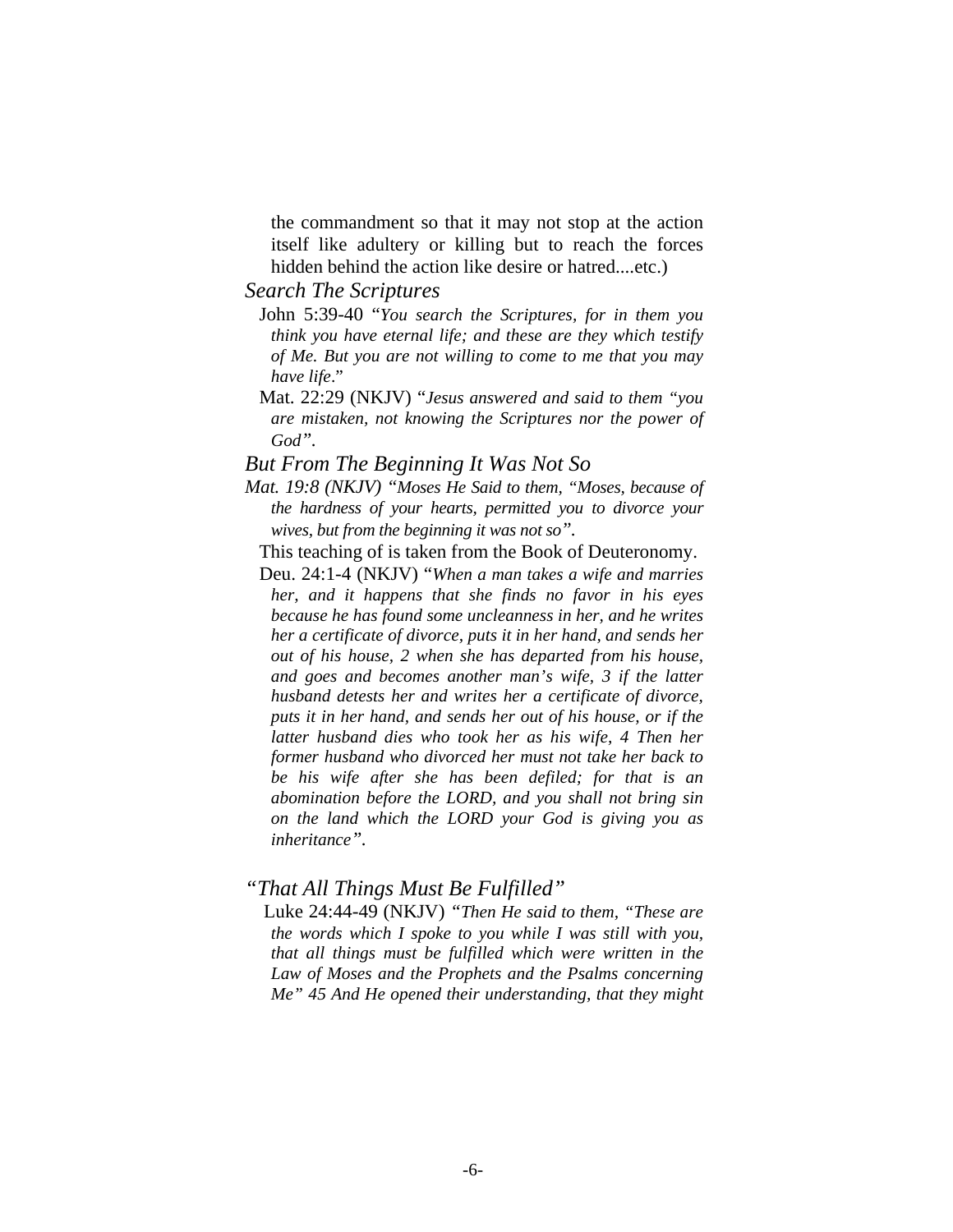the commandment so that it may not stop at the action itself like adultery or killing but to reach the forces hidden behind the action like desire or hatred....etc.)

# *Search The Scriptures*

- John 5:39-40 "*You search the Scriptures, for in them you think you have eternal life; and these are they which testify of Me. But you are not willing to come to me that you may have life*."
- Mat. 22:29 (NKJV) "*Jesus answered and said to them "you are mistaken, not knowing the Scriptures nor the power of God".*

#### *But From The Beginning It Was Not So*

- *Mat. 19:8 (NKJV) "Moses He Said to them, "Moses, because of the hardness of your hearts, permitted you to divorce your wives, but from the beginning it was not so".* 
	- This teaching of is taken from the Book of Deuteronomy.
	- Deu. 24:1-4 (NKJV) "*When a man takes a wife and marries her, and it happens that she finds no favor in his eyes because he has found some uncleanness in her, and he writes her a certificate of divorce, puts it in her hand, and sends her out of his house, 2 when she has departed from his house, and goes and becomes another man's wife, 3 if the latter husband detests her and writes her a certificate of divorce, puts it in her hand, and sends her out of his house, or if the latter husband dies who took her as his wife, 4 Then her former husband who divorced her must not take her back to be his wife after she has been defiled; for that is an abomination before the LORD, and you shall not bring sin on the land which the LORD your God is giving you as inheritance".*

# *"That All Things Must Be Fulfilled"*

Luke 24:44-49 (NKJV) *"Then He said to them, "These are the words which I spoke to you while I was still with you, that all things must be fulfilled which were written in the Law of Moses and the Prophets and the Psalms concerning Me" 45 And He opened their understanding, that they might*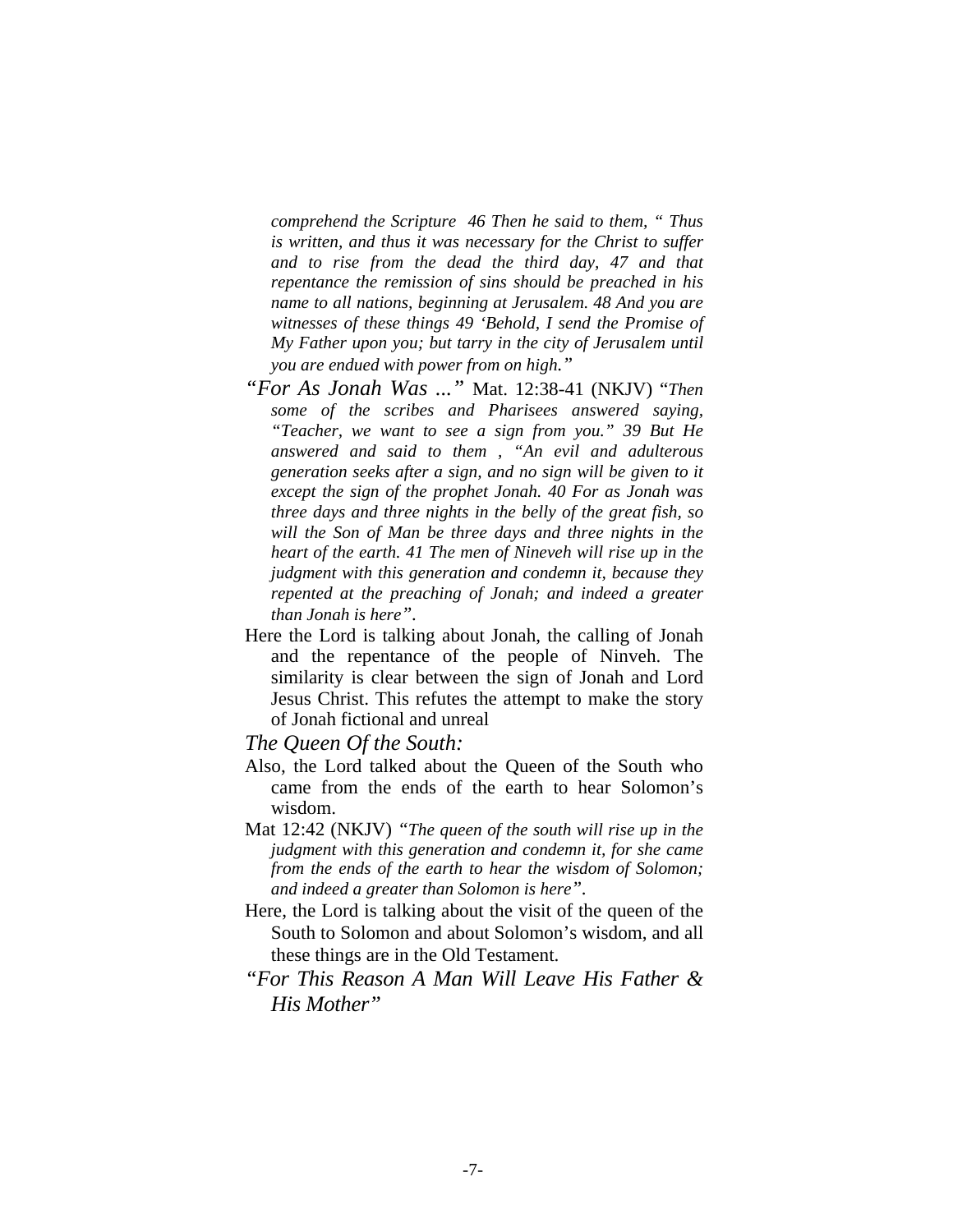*comprehend the Scripture 46 Then he said to them, " Thus is written, and thus it was necessary for the Christ to suffer and to rise from the dead the third day, 47 and that repentance the remission of sins should be preached in his name to all nations, beginning at Jerusalem. 48 And you are witnesses of these things 49 'Behold, I send the Promise of My Father upon you; but tarry in the city of Jerusalem until you are endued with power from on high."*

- *"For As Jonah Was ..."* Mat. 12:38-41 (NKJV) "*Then some of the scribes and Pharisees answered saying, "Teacher, we want to see a sign from you." 39 But He answered and said to them , "An evil and adulterous generation seeks after a sign, and no sign will be given to it except the sign of the prophet Jonah. 40 For as Jonah was three days and three nights in the belly of the great fish, so will the Son of Man be three days and three nights in the heart of the earth. 41 The men of Nineveh will rise up in the judgment with this generation and condemn it, because they repented at the preaching of Jonah; and indeed a greater than Jonah is here".*
- Here the Lord is talking about Jonah, the calling of Jonah and the repentance of the people of Ninveh. The similarity is clear between the sign of Jonah and Lord Jesus Christ. This refutes the attempt to make the story of Jonah fictional and unreal

*The Queen Of the South:* 

- Also, the Lord talked about the Queen of the South who came from the ends of the earth to hear Solomon's wisdom.
- Mat 12:42 (NKJV) *"The queen of the south will rise up in the judgment with this generation and condemn it, for she came from the ends of the earth to hear the wisdom of Solomon; and indeed a greater than Solomon is here".*
- Here, the Lord is talking about the visit of the queen of the South to Solomon and about Solomon's wisdom, and all these things are in the Old Testament.
- *"For This Reason A Man Will Leave His Father & His Mother"*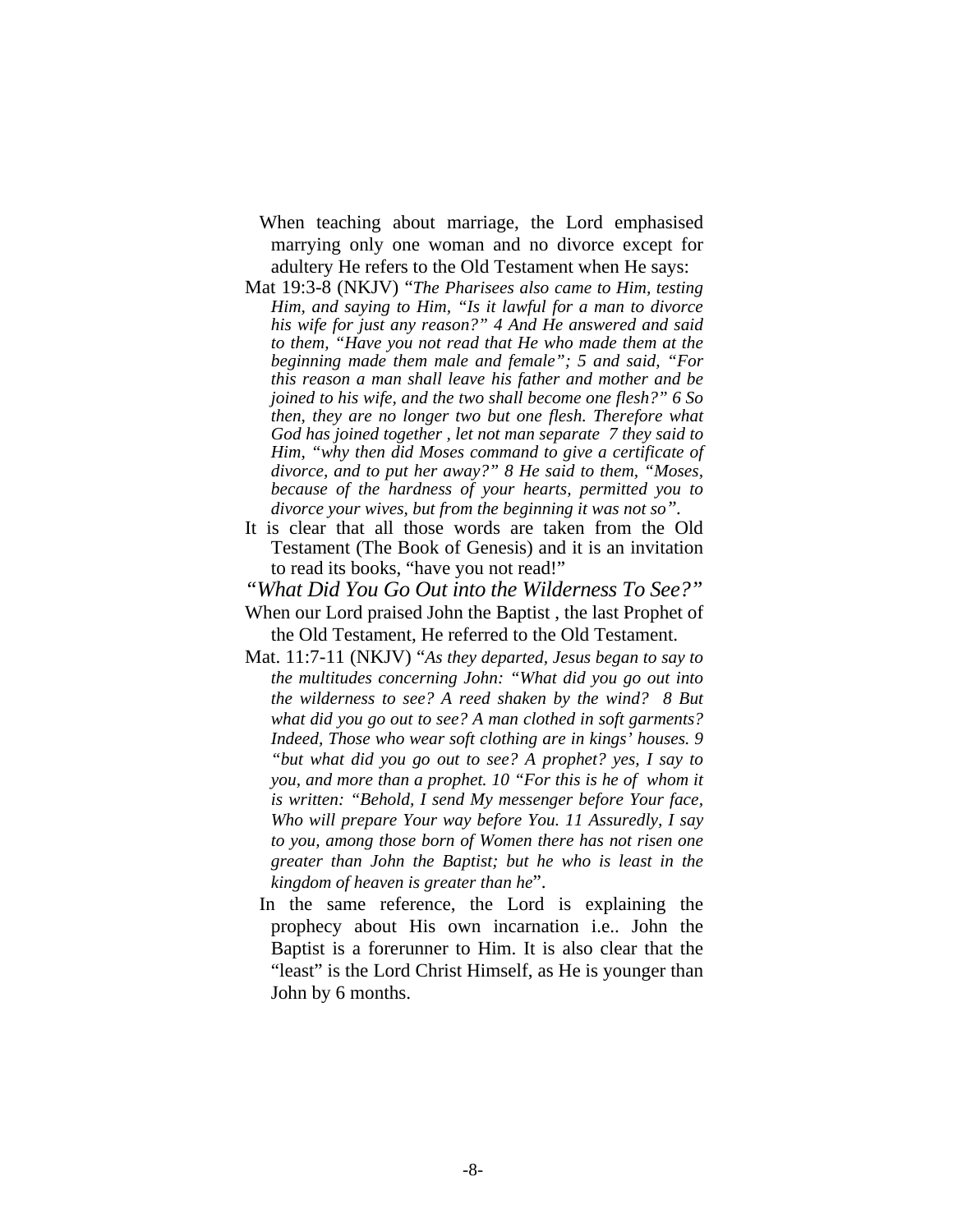- When teaching about marriage, the Lord emphasised marrying only one woman and no divorce except for adultery He refers to the Old Testament when He says:
- Mat 19:3-8 (NKJV) "*The Pharisees also came to Him, testing Him, and saying to Him, "Is it lawful for a man to divorce his wife for just any reason?" 4 And He answered and said to them, "Have you not read that He who made them at the beginning made them male and female"; 5 and said, "For this reason a man shall leave his father and mother and be joined to his wife, and the two shall become one flesh?" 6 So then, they are no longer two but one flesh. Therefore what God has joined together , let not man separate 7 they said to Him, "why then did Moses command to give a certificate of divorce, and to put her away?" 8 He said to them, "Moses, because of the hardness of your hearts, permitted you to divorce your wives, but from the beginning it was not so".*
- It is clear that all those words are taken from the Old Testament (The Book of Genesis) and it is an invitation to read its books, "have you not read!"

*"What Did You Go Out into the Wilderness To See?"* 

- When our Lord praised John the Baptist , the last Prophet of the Old Testament, He referred to the Old Testament.
- Mat. 11:7-11 (NKJV) "*As they departed, Jesus began to say to the multitudes concerning John: "What did you go out into the wilderness to see? A reed shaken by the wind? 8 But what did you go out to see? A man clothed in soft garments? Indeed, Those who wear soft clothing are in kings' houses. 9 "but what did you go out to see? A prophet? yes, I say to you, and more than a prophet. 10 "For this is he of whom it is written: "Behold, I send My messenger before Your face, Who will prepare Your way before You. 11 Assuredly, I say to you, among those born of Women there has not risen one greater than John the Baptist; but he who is least in the kingdom of heaven is greater than he*".
	- In the same reference, the Lord is explaining the prophecy about His own incarnation i.e.. John the Baptist is a forerunner to Him. It is also clear that the "least" is the Lord Christ Himself, as He is younger than John by 6 months.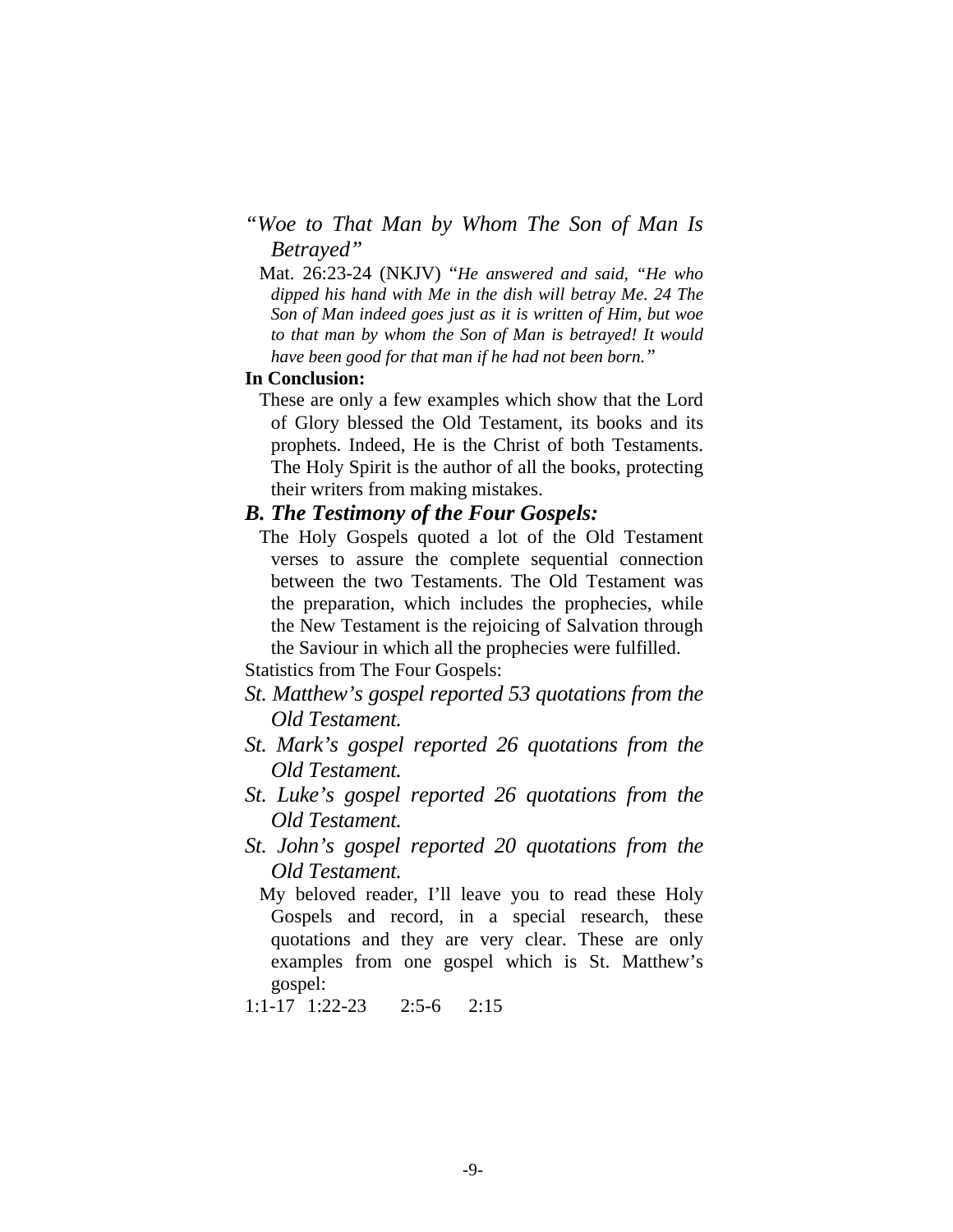# *"Woe to That Man by Whom The Son of Man Is Betrayed"*

 Mat. 26:23-24 (NKJV) "*He answered and said, "He who dipped his hand with Me in the dish will betray Me. 24 The Son of Man indeed goes just as it is written of Him, but woe to that man by whom the Son of Man is betrayed! It would have been good for that man if he had not been born."* 

# **In Conclusion:**

 These are only a few examples which show that the Lord of Glory blessed the Old Testament, its books and its prophets. Indeed, He is the Christ of both Testaments. The Holy Spirit is the author of all the books, protecting their writers from making mistakes.

# *B. The Testimony of the Four Gospels:*

 The Holy Gospels quoted a lot of the Old Testament verses to assure the complete sequential connection between the two Testaments. The Old Testament was the preparation, which includes the prophecies, while the New Testament is the rejoicing of Salvation through the Saviour in which all the prophecies were fulfilled.

Statistics from The Four Gospels:

- *St. Matthew's gospel reported 53 quotations from the Old Testament.*
- *St. Mark's gospel reported 26 quotations from the Old Testament.*
- *St. Luke's gospel reported 26 quotations from the Old Testament.*
- *St. John's gospel reported 20 quotations from the Old Testament.*

 My beloved reader, I'll leave you to read these Holy Gospels and record, in a special research, these quotations and they are very clear. These are only examples from one gospel which is St. Matthew's gospel:

1:1-17 1:22-23 2:5-6 2:15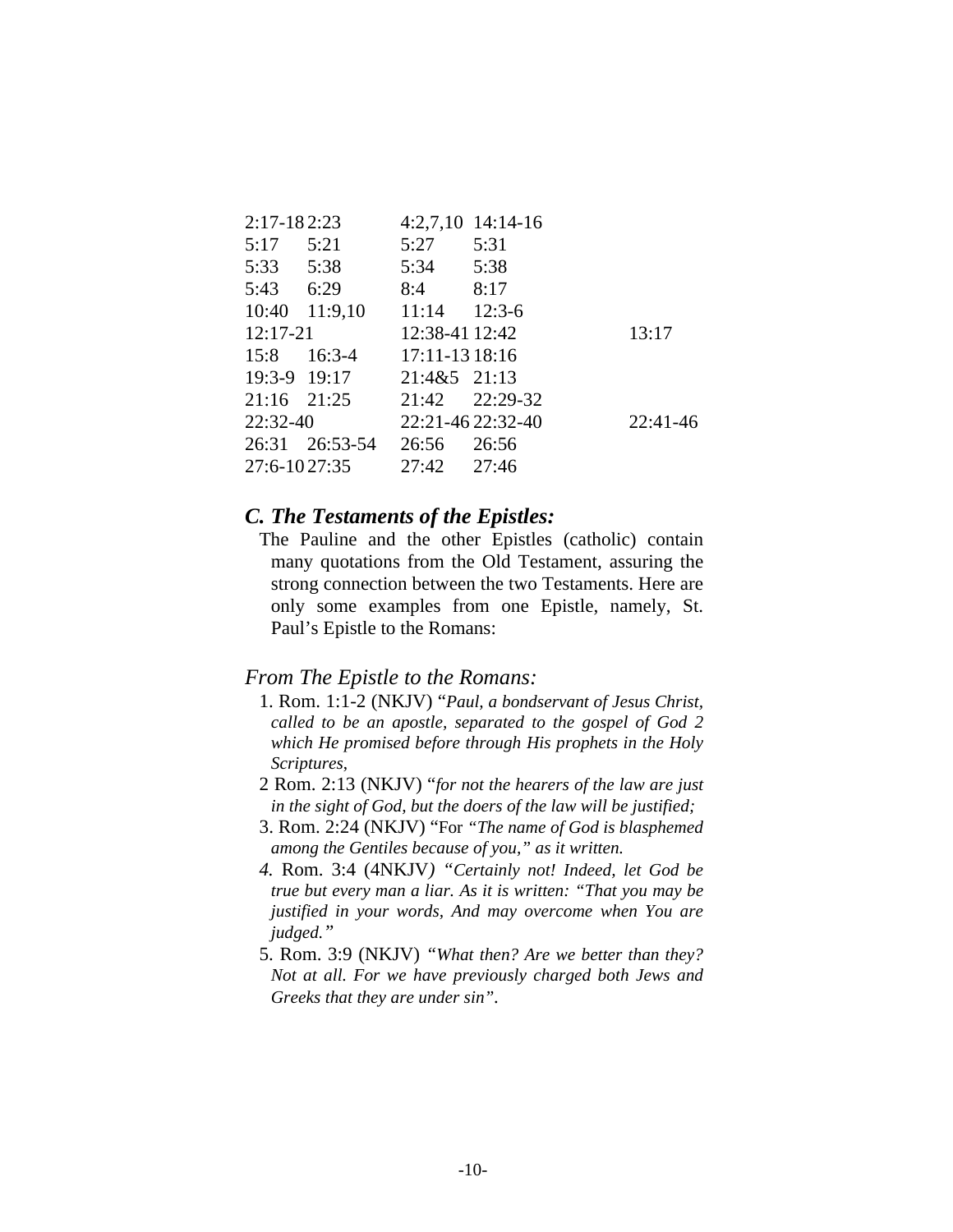| $2:17 - 182:23$ |      |      |                                                                                                                                                                                           |
|-----------------|------|------|-------------------------------------------------------------------------------------------------------------------------------------------------------------------------------------------|
| 5:21<br>5:17    | 5:27 | 5:31 |                                                                                                                                                                                           |
| 5:33 5:38       |      |      |                                                                                                                                                                                           |
| 5:43 6:29       |      |      |                                                                                                                                                                                           |
| 10:40 11:9,10   |      |      |                                                                                                                                                                                           |
| $12:17-21$      |      |      | 13:17                                                                                                                                                                                     |
| $15:8$ 16:3-4   |      |      |                                                                                                                                                                                           |
| 19:3-9 19:17    |      |      |                                                                                                                                                                                           |
| $21:16$ $21:25$ |      |      |                                                                                                                                                                                           |
| $22:32-40$      |      |      | $22:41-46$                                                                                                                                                                                |
| 26:31 26:53-54  |      |      |                                                                                                                                                                                           |
| 27:6-1027:35    |      |      |                                                                                                                                                                                           |
|                 |      |      | 4:2,7,10 14:14-16<br>5:34 5:38<br>$8:4$ $8:17$<br>$11:14$ 12:3-6<br>12:38-41 12:42<br>17:11-13 18:16<br>21:4&5 21:13<br>21:42 22:29-32<br>22:21-46 22:32-40<br>26:56 26:56<br>27:42 27:46 |

# *C. The Testaments of the Epistles:*

 The Pauline and the other Epistles (catholic) contain many quotations from the Old Testament, assuring the strong connection between the two Testaments. Here are only some examples from one Epistle, namely, St. Paul's Epistle to the Romans:

# *From The Epistle to the Romans:*

- 1. Rom. 1:1-2 (NKJV) "*Paul, a bondservant of Jesus Christ, called to be an apostle, separated to the gospel of God 2 which He promised before through His prophets in the Holy Scriptures*,
- 2 Rom. 2:13 (NKJV) "*for not the hearers of the law are just in the sight of God, but the doers of the law will be justified;*
- 3. Rom. 2:24 (NKJV) "For *"The name of God is blasphemed among the Gentiles because of you," as it written.*
- *4.* Rom. 3:4 (4NKJV*) "Certainly not! Indeed, let God be true but every man a liar. As it is written: "That you may be justified in your words, And may overcome when You are judged."*
- 5. Rom. 3:9 (NKJV) *"What then? Are we better than they? Not at all. For we have previously charged both Jews and Greeks that they are under sin".*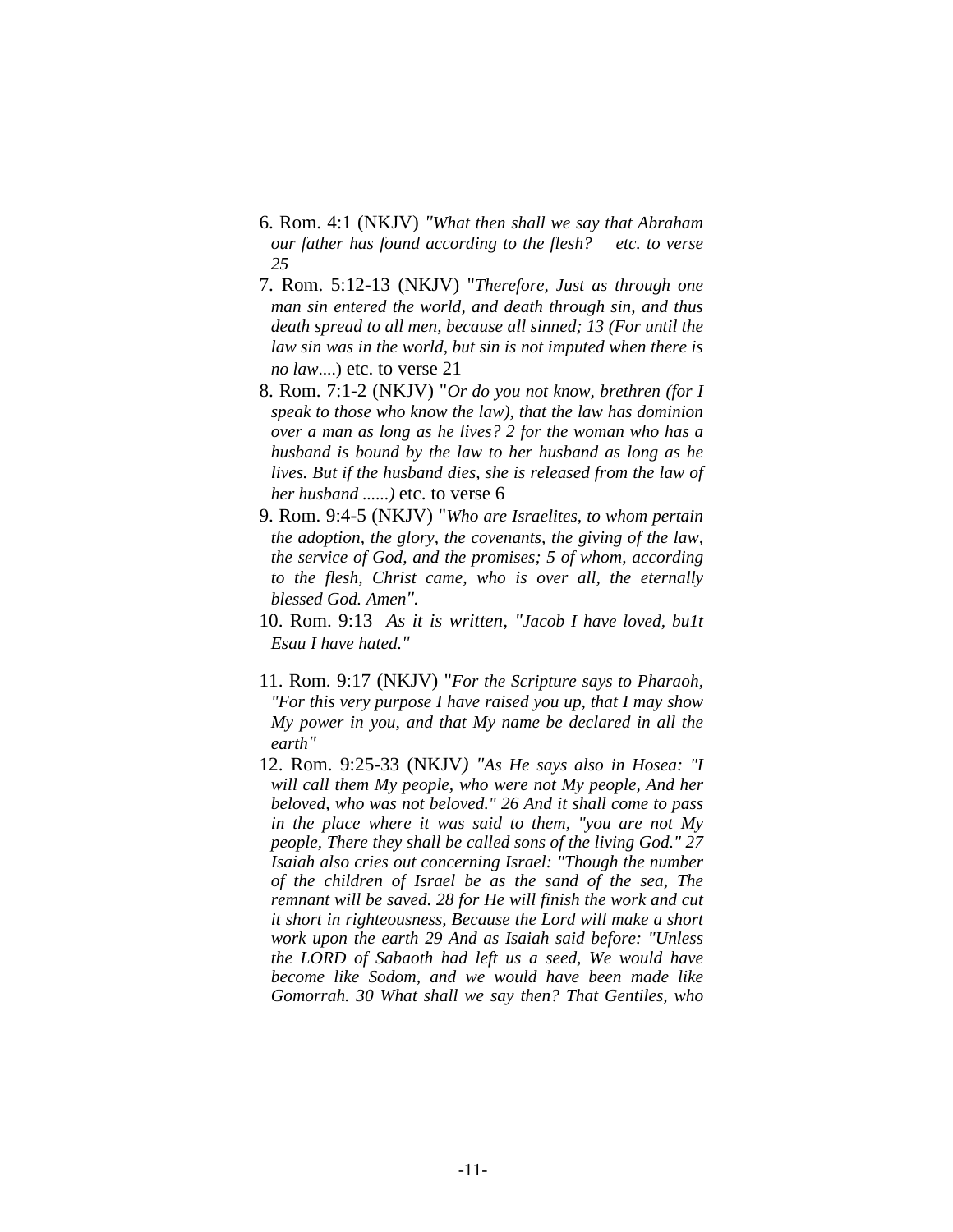- 6. Rom. 4:1 (NKJV) *"What then shall we say that Abraham our father has found according to the flesh? etc. to verse 25*
- 7. Rom. 5:12-13 (NKJV) "*Therefore, Just as through one man sin entered the world, and death through sin, and thus death spread to all men, because all sinned; 13 (For until the law sin was in the world, but sin is not imputed when there is no law*....) etc. to verse 21
- 8. Rom. 7:1-2 (NKJV) "*Or do you not know, brethren (for I speak to those who know the law), that the law has dominion over a man as long as he lives? 2 for the woman who has a husband is bound by the law to her husband as long as he lives. But if the husband dies, she is released from the law of her husband ......)* etc. to verse 6
- 9. Rom. 9:4-5 (NKJV) "*Who are Israelites, to whom pertain the adoption, the glory, the covenants, the giving of the law, the service of God, and the promises; 5 of whom, according to the flesh, Christ came, who is over all, the eternally blessed God. Amen".*
- 10. Rom. 9:13 *As it is written, "Jacob I have loved, bu1t Esau I have hated."*
- 11. Rom. 9:17 (NKJV) "*For the Scripture says to Pharaoh, "For this very purpose I have raised you up, that I may show My power in you, and that My name be declared in all the earth"*
- 12. Rom. 9:25-33 (NKJV*) "As He says also in Hosea: "I will call them My people, who were not My people, And her beloved, who was not beloved." 26 And it shall come to pass in the place where it was said to them, "you are not My people, There they shall be called sons of the living God." 27 Isaiah also cries out concerning Israel: "Though the number of the children of Israel be as the sand of the sea, The remnant will be saved. 28 for He will finish the work and cut it short in righteousness, Because the Lord will make a short work upon the earth 29 And as Isaiah said before: "Unless the LORD of Sabaoth had left us a seed, We would have become like Sodom, and we would have been made like Gomorrah. 30 What shall we say then? That Gentiles, who*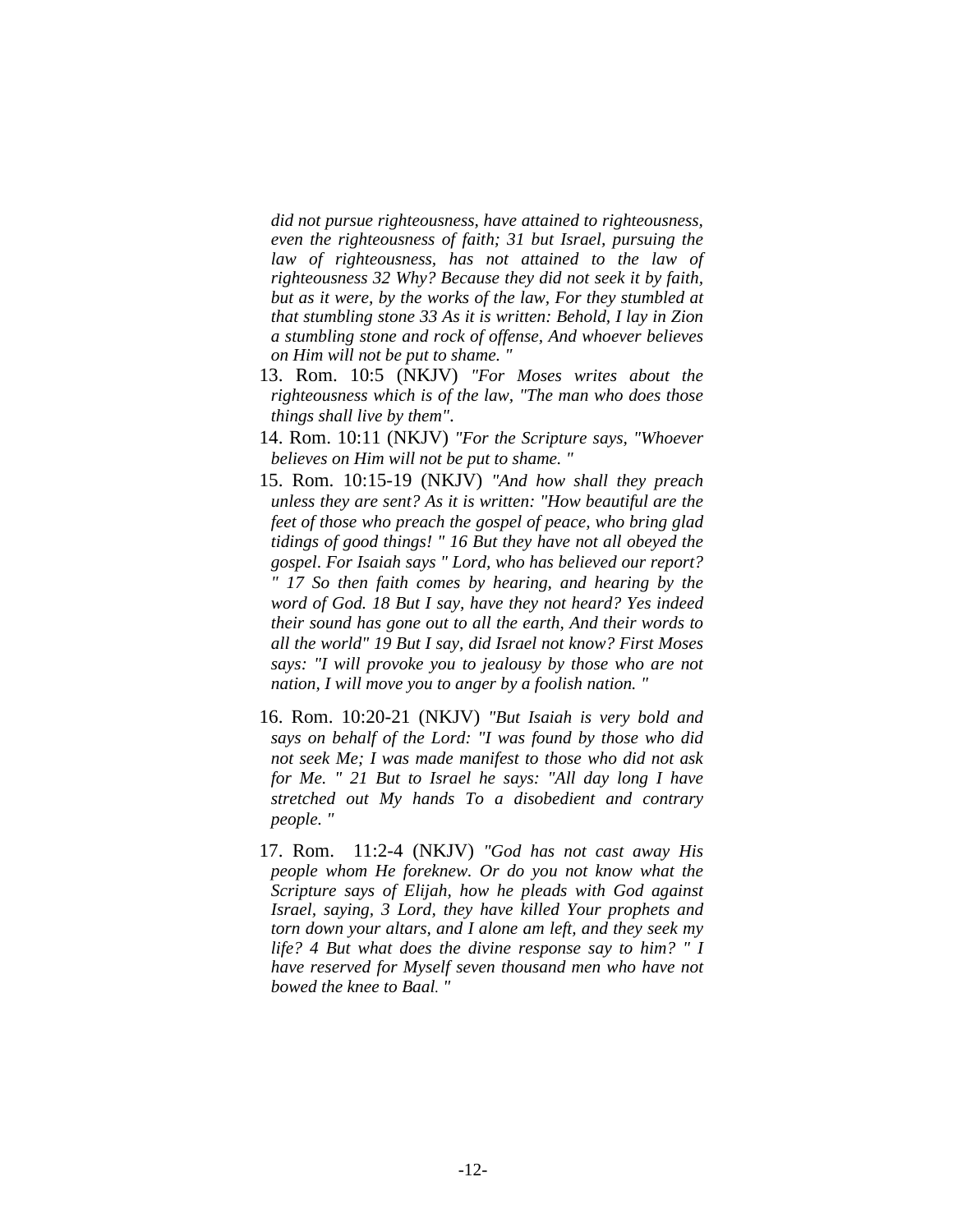*did not pursue righteousness, have attained to righteousness, even the righteousness of faith; 31 but Israel, pursuing the law of righteousness, has not attained to the law of righteousness 32 Why? Because they did not seek it by faith, but as it were, by the works of the law, For they stumbled at that stumbling stone 33 As it is written: Behold, I lay in Zion a stumbling stone and rock of offense, And whoever believes on Him will not be put to shame. "* 

- 13. Rom. 10:5 (NKJV) *"For Moses writes about the righteousness which is of the law, "The man who does those things shall live by them"*.
- 14. Rom. 10:11 (NKJV) *"For the Scripture says, "Whoever believes on Him will not be put to shame. "*
- 15. Rom. 10:15-19 (NKJV) *"And how shall they preach unless they are sent? As it is written: "How beautiful are the feet of those who preach the gospel of peace, who bring glad tidings of good things! " 16 But they have not all obeyed the gospel*. *For Isaiah says " Lord, who has believed our report? " 17 So then faith comes by hearing, and hearing by the word of God. 18 But I say, have they not heard? Yes indeed their sound has gone out to all the earth, And their words to all the world" 19 But I say, did Israel not know? First Moses says: "I will provoke you to jealousy by those who are not nation, I will move you to anger by a foolish nation. "*
- 16. Rom. 10:20-21 (NKJV) *"But Isaiah is very bold and says on behalf of the Lord: "I was found by those who did not seek Me; I was made manifest to those who did not ask for Me. " 21 But to Israel he says: "All day long I have stretched out My hands To a disobedient and contrary people. "*
- 17. Rom. 11:2-4 (NKJV) *"God has not cast away His people whom He foreknew. Or do you not know what the Scripture says of Elijah, how he pleads with God against Israel, saying, 3 Lord, they have killed Your prophets and torn down your altars, and I alone am left, and they seek my life? 4 But what does the divine response say to him? " I have reserved for Myself seven thousand men who have not bowed the knee to Baal. "*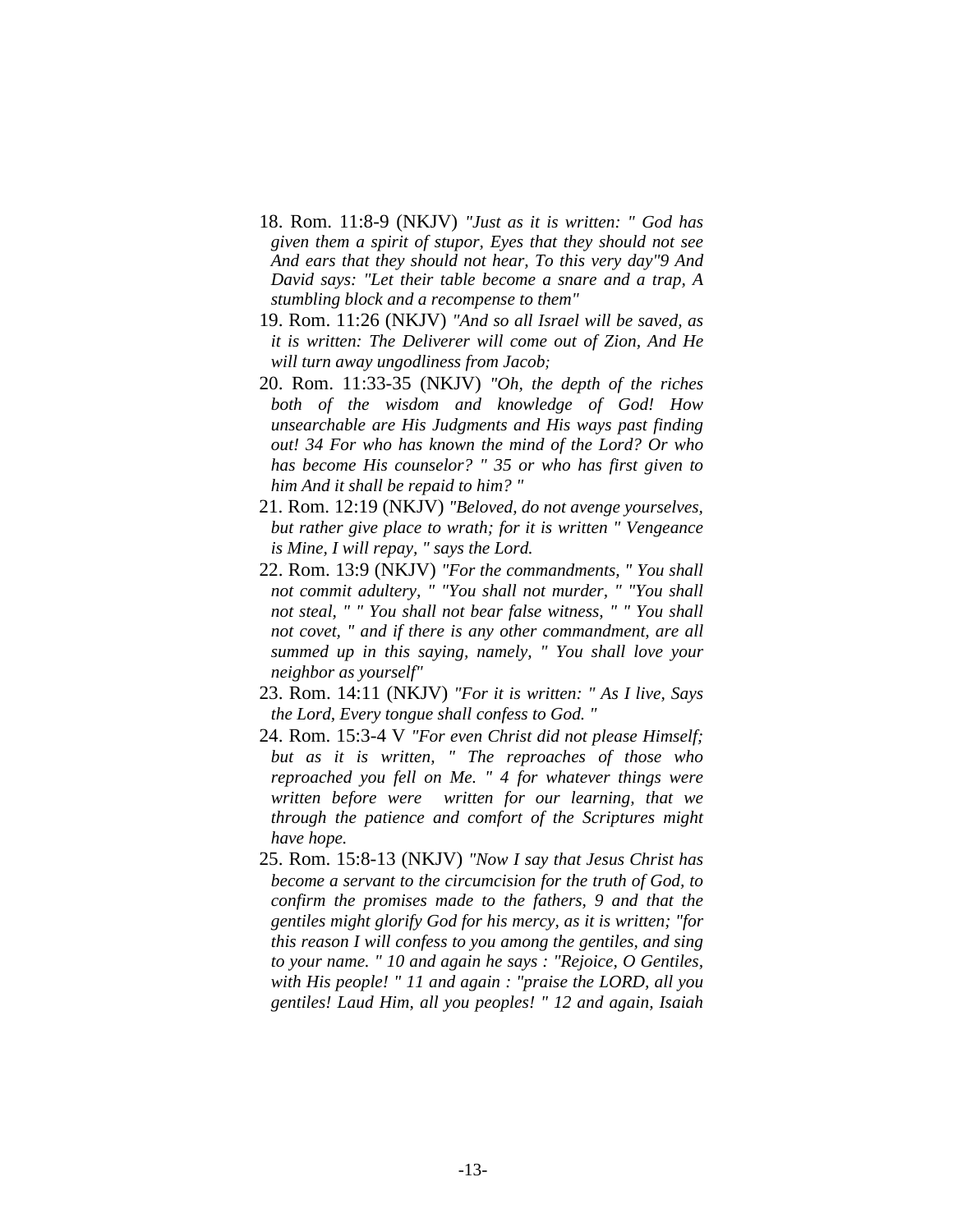- 18. Rom. 11:8-9 (NKJV) *"Just as it is written: " God has given them a spirit of stupor, Eyes that they should not see And ears that they should not hear, To this very day"9 And David says: "Let their table become a snare and a trap, A stumbling block and a recompense to them"*
- 19. Rom. 11:26 (NKJV) *"And so all Israel will be saved, as it is written: The Deliverer will come out of Zion, And He will turn away ungodliness from Jacob;*
- 20. Rom. 11:33-35 (NKJV) *"Oh, the depth of the riches both of the wisdom and knowledge of God! How unsearchable are His Judgments and His ways past finding out! 34 For who has known the mind of the Lord? Or who has become His counselor? " 35 or who has first given to him And it shall be repaid to him? "*
- 21. Rom. 12:19 (NKJV) *"Beloved, do not avenge yourselves, but rather give place to wrath; for it is written " Vengeance is Mine, I will repay, " says the Lord.*
- 22. Rom. 13:9 (NKJV) *"For the commandments, " You shall not commit adultery, " "You shall not murder, " "You shall not steal, " " You shall not bear false witness, " " You shall not covet, " and if there is any other commandment, are all summed up in this saying, namely, " You shall love your neighbor as yourself"*
- 23. Rom. 14:11 (NKJV) *"For it is written: " As I live, Says the Lord, Every tongue shall confess to God. "*
- 24. Rom. 15:3-4 V *"For even Christ did not please Himself; but as it is written, " The reproaches of those who reproached you fell on Me. " 4 for whatever things were written before were written for our learning, that we through the patience and comfort of the Scriptures might have hope.*
- 25. Rom. 15:8-13 (NKJV) *"Now I say that Jesus Christ has become a servant to the circumcision for the truth of God, to confirm the promises made to the fathers, 9 and that the gentiles might glorify God for his mercy, as it is written; "for this reason I will confess to you among the gentiles, and sing to your name. " 10 and again he says : "Rejoice, O Gentiles, with His people! " 11 and again : "praise the LORD, all you gentiles! Laud Him, all you peoples! " 12 and again, Isaiah*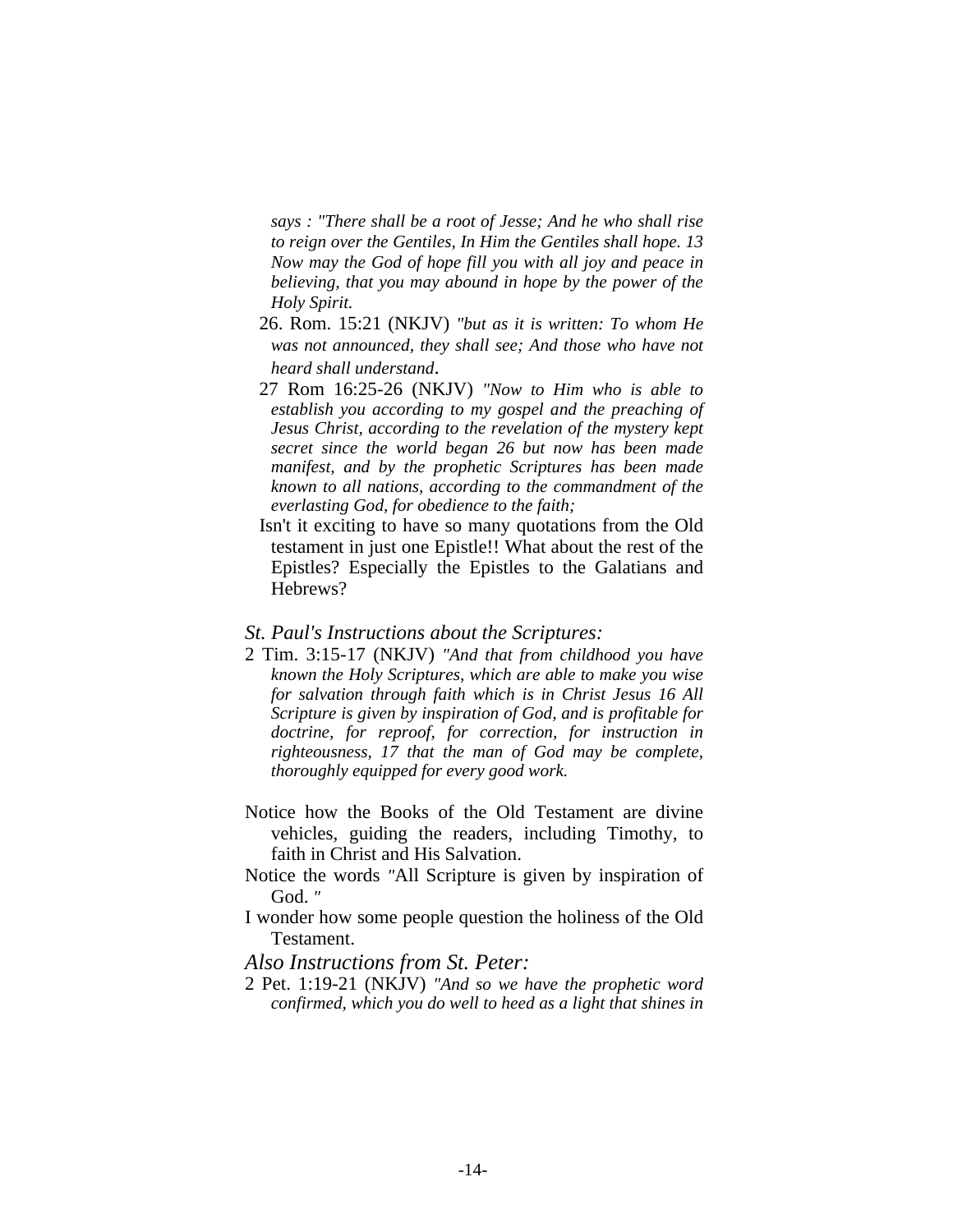*says : "There shall be a root of Jesse; And he who shall rise to reign over the Gentiles, In Him the Gentiles shall hope. 13 Now may the God of hope fill you with all joy and peace in believing, that you may abound in hope by the power of the Holy Spirit.*

- 26. Rom. 15:21 (NKJV) *"but as it is written: To whom He was not announced, they shall see; And those who have not heard shall understand*.
- 27 Rom 16:25-26 (NKJV) *"Now to Him who is able to establish you according to my gospel and the preaching of Jesus Christ, according to the revelation of the mystery kept secret since the world began 26 but now has been made manifest, and by the prophetic Scriptures has been made known to all nations, according to the commandment of the everlasting God, for obedience to the faith;*
- Isn't it exciting to have so many quotations from the Old testament in just one Epistle!! What about the rest of the Epistles? Especially the Epistles to the Galatians and Hebrews?

#### *St. Paul's Instructions about the Scriptures:*

- 2 Tim. 3:15-17 (NKJV) *"And that from childhood you have known the Holy Scriptures, which are able to make you wise for salvation through faith which is in Christ Jesus 16 All Scripture is given by inspiration of God, and is profitable for doctrine, for reproof, for correction, for instruction in righteousness, 17 that the man of God may be complete, thoroughly equipped for every good work.*
- Notice how the Books of the Old Testament are divine vehicles, guiding the readers, including Timothy, to faith in Christ and His Salvation.
- Notice the words *"*All Scripture is given by inspiration of God. *"*
- I wonder how some people question the holiness of the Old Testament.

## *Also Instructions from St. Peter:*

2 Pet. 1:19-21 (NKJV) *"And so we have the prophetic word confirmed, which you do well to heed as a light that shines in*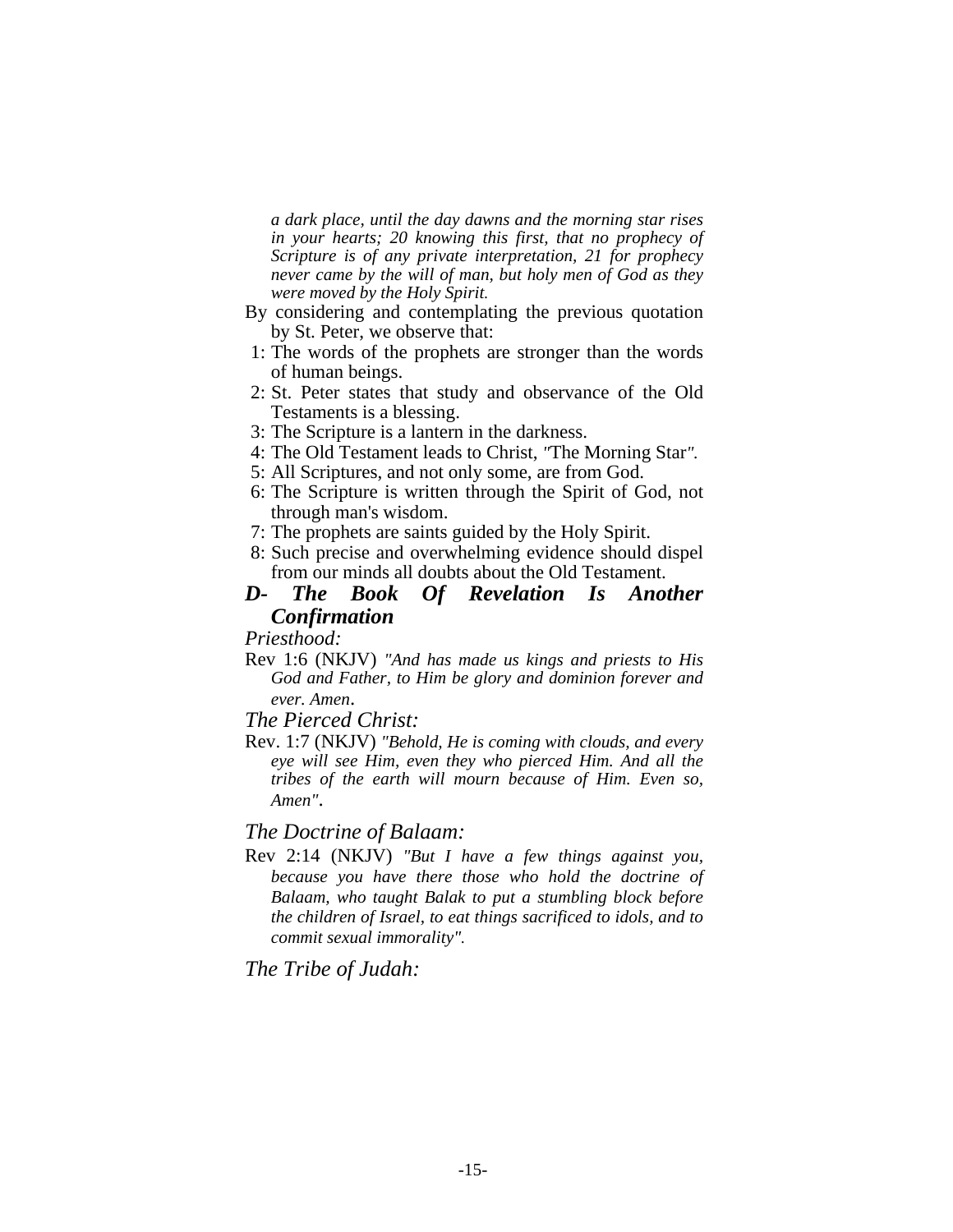*a dark place, until the day dawns and the morning star rises in your hearts; 20 knowing this first, that no prophecy of Scripture is of any private interpretation, 21 for prophecy never came by the will of man, but holy men of God as they were moved by the Holy Spirit.* 

- By considering and contemplating the previous quotation by St. Peter, we observe that:
- 1: The words of the prophets are stronger than the words of human beings.
- 2: St. Peter states that study and observance of the Old Testaments is a blessing.
- 3: The Scripture is a lantern in the darkness.
- 4: The Old Testament leads to Christ, *"*The Morning Star*".*
- 5: All Scriptures, and not only some, are from God.
- 6: The Scripture is written through the Spirit of God, not through man's wisdom.
- 7: The prophets are saints guided by the Holy Spirit.
- 8: Such precise and overwhelming evidence should dispel from our minds all doubts about the Old Testament.

# *D- The Book Of Revelation Is Another Confirmation*

*Priesthood:*

Rev 1:6 (NKJV) *"And has made us kings and priests to His God and Father, to Him be glory and dominion forever and ever. Amen*.

*The Pierced Christ:* 

Rev. 1:7 (NKJV) *"Behold, He is coming with clouds, and every eye will see Him, even they who pierced Him. And all the tribes of the earth will mourn because of Him. Even so, Amen"*.

# *The Doctrine of Balaam:*

Rev 2:14 (NKJV) *"But I have a few things against you, because you have there those who hold the doctrine of Balaam, who taught Balak to put a stumbling block before the children of Israel, to eat things sacrificed to idols, and to commit sexual immorality".* 

*The Tribe of Judah:*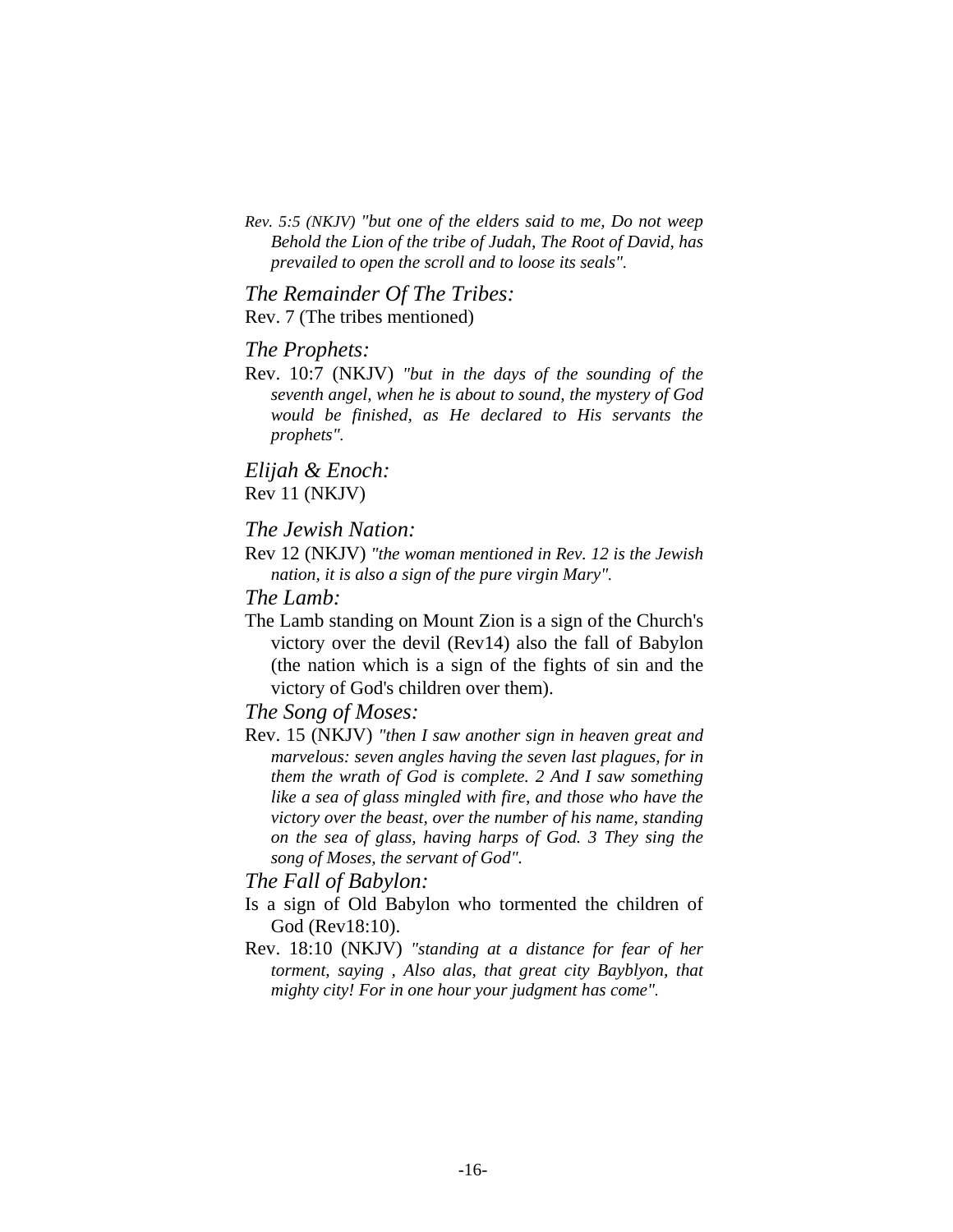*Rev. 5:5 (NKJV) "but one of the elders said to me, Do not weep Behold the Lion of the tribe of Judah, The Root of David, has prevailed to open the scroll and to loose its seals".* 

*The Remainder Of The Tribes:*  Rev. 7 (The tribes mentioned)

#### *The Prophets:*

Rev. 10:7 (NKJV) *"but in the days of the sounding of the seventh angel, when he is about to sound, the mystery of God would be finished, as He declared to His servants the prophets".* 

*Elijah & Enoch:*  Rev 11 (NKJV)

# *The Jewish Nation:*

Rev 12 (NKJV) *"the woman mentioned in Rev. 12 is the Jewish nation, it is also a sign of the pure virgin Mary".* 

# *The Lamb:*

The Lamb standing on Mount Zion is a sign of the Church's victory over the devil (Rev14) also the fall of Babylon (the nation which is a sign of the fights of sin and the victory of God's children over them).

# *The Song of Moses:*

Rev. 15 (NKJV) *"then I saw another sign in heaven great and marvelous: seven angles having the seven last plagues, for in them the wrath of God is complete. 2 And I saw something like a sea of glass mingled with fire, and those who have the victory over the beast, over the number of his name, standing on the sea of glass, having harps of God. 3 They sing the song of Moses, the servant of God".*

# *The Fall of Babylon:*

- Is a sign of Old Babylon who tormented the children of God (Rev18:10).
- Rev. 18:10 (NKJV) *"standing at a distance for fear of her torment, saying , Also alas, that great city Bayblyon, that mighty city! For in one hour your judgment has come".*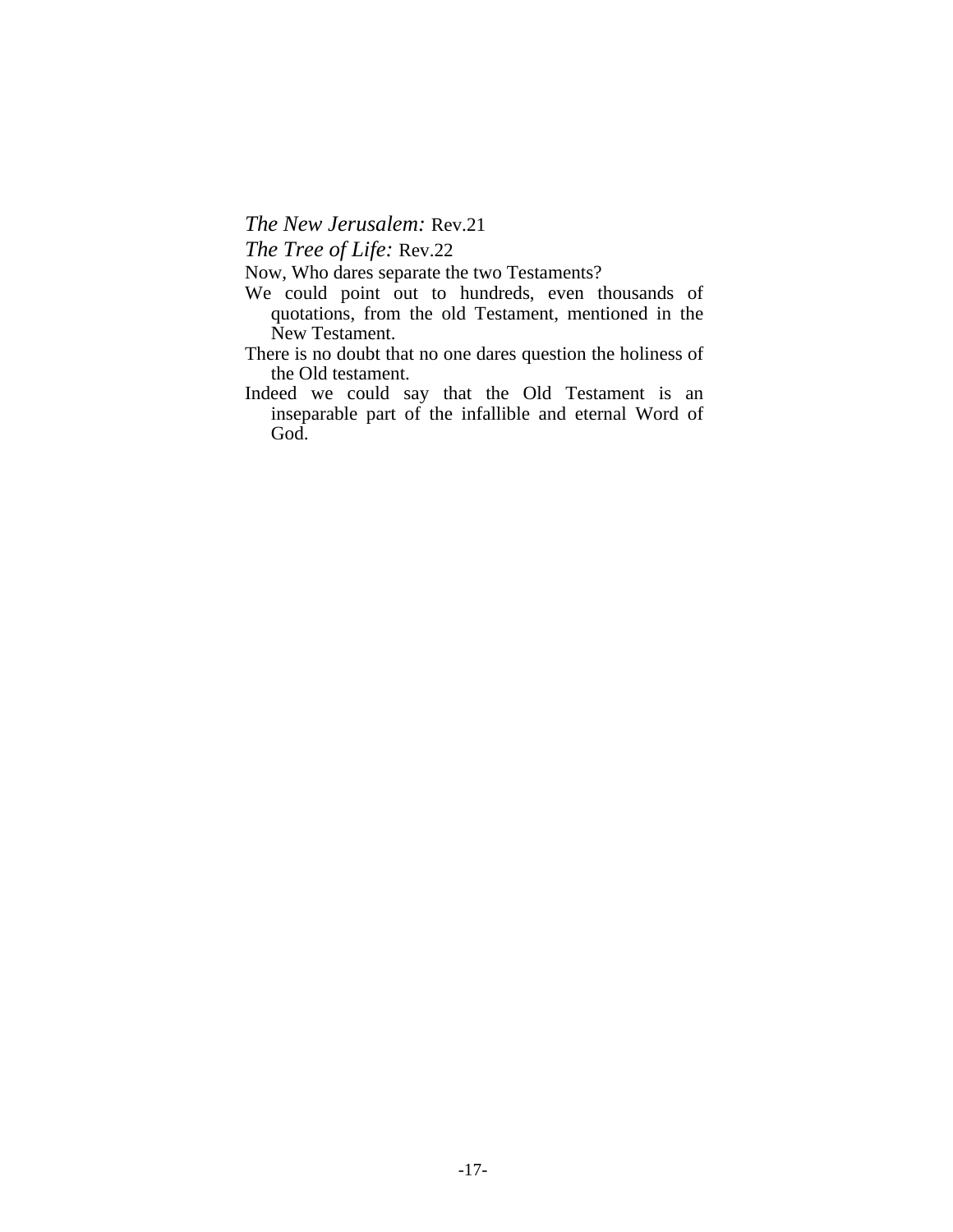*The New Jerusalem:* Rev.21

*The Tree of Life:* Rev.22

Now, Who dares separate the two Testaments?

- We could point out to hundreds, even thousands of quotations, from the old Testament, mentioned in the New Testament.
- There is no doubt that no one dares question the holiness of the Old testament.
- Indeed we could say that the Old Testament is an inseparable part of the infallible and eternal Word of God.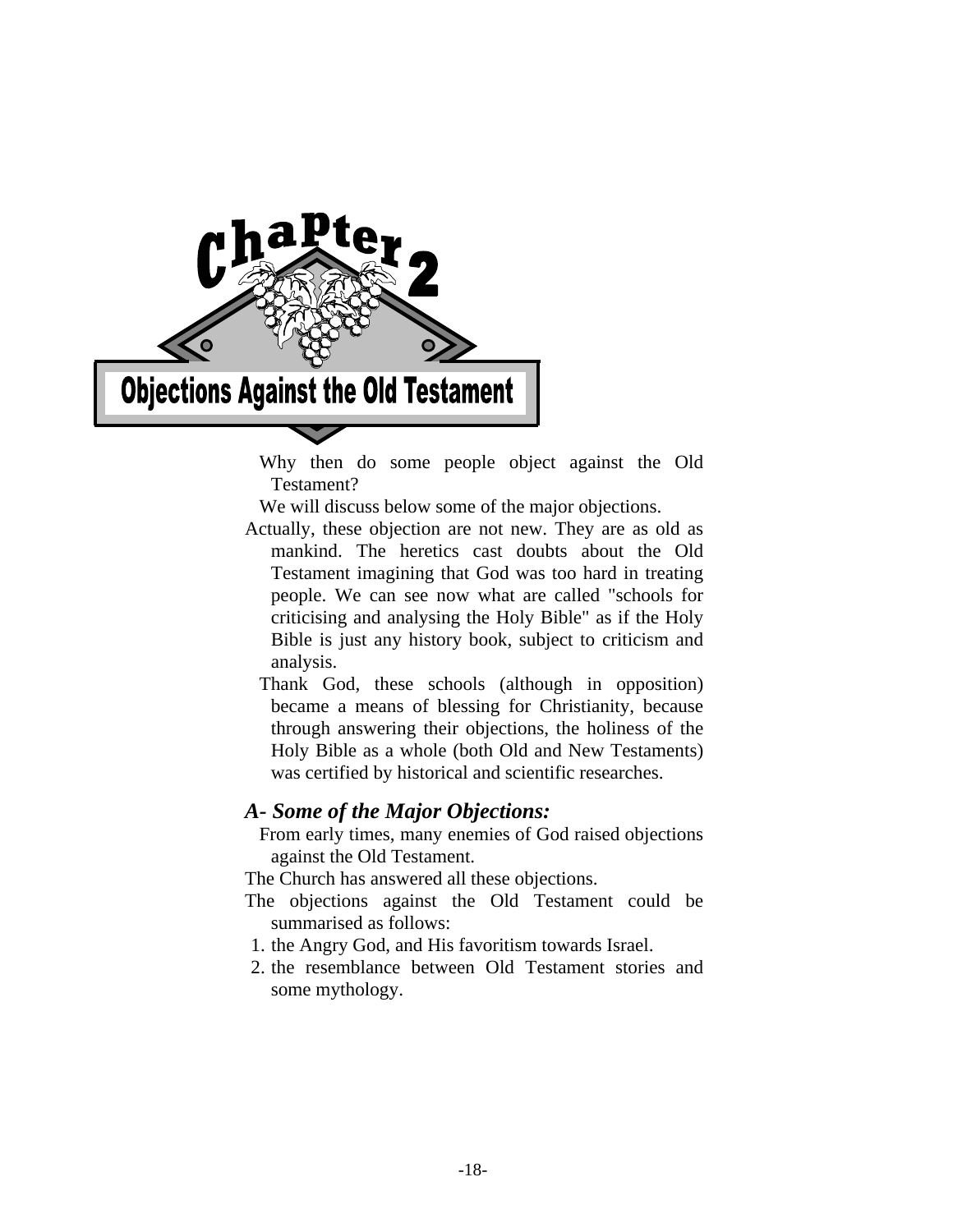

 Why then do some people object against the Old Testament?

We will discuss below some of the major objections.

- Actually, these objection are not new. They are as old as mankind. The heretics cast doubts about the Old Testament imagining that God was too hard in treating people. We can see now what are called "schools for criticising and analysing the Holy Bible" as if the Holy Bible is just any history book, subject to criticism and analysis.
	- Thank God, these schools (although in opposition) became a means of blessing for Christianity, because through answering their objections, the holiness of the Holy Bible as a whole (both Old and New Testaments) was certified by historical and scientific researches.

# *A- Some of the Major Objections:*

 From early times, many enemies of God raised objections against the Old Testament.

The Church has answered all these objections.

- The objections against the Old Testament could be summarised as follows:
- 1. the Angry God, and His favoritism towards Israel.
- 2. the resemblance between Old Testament stories and some mythology.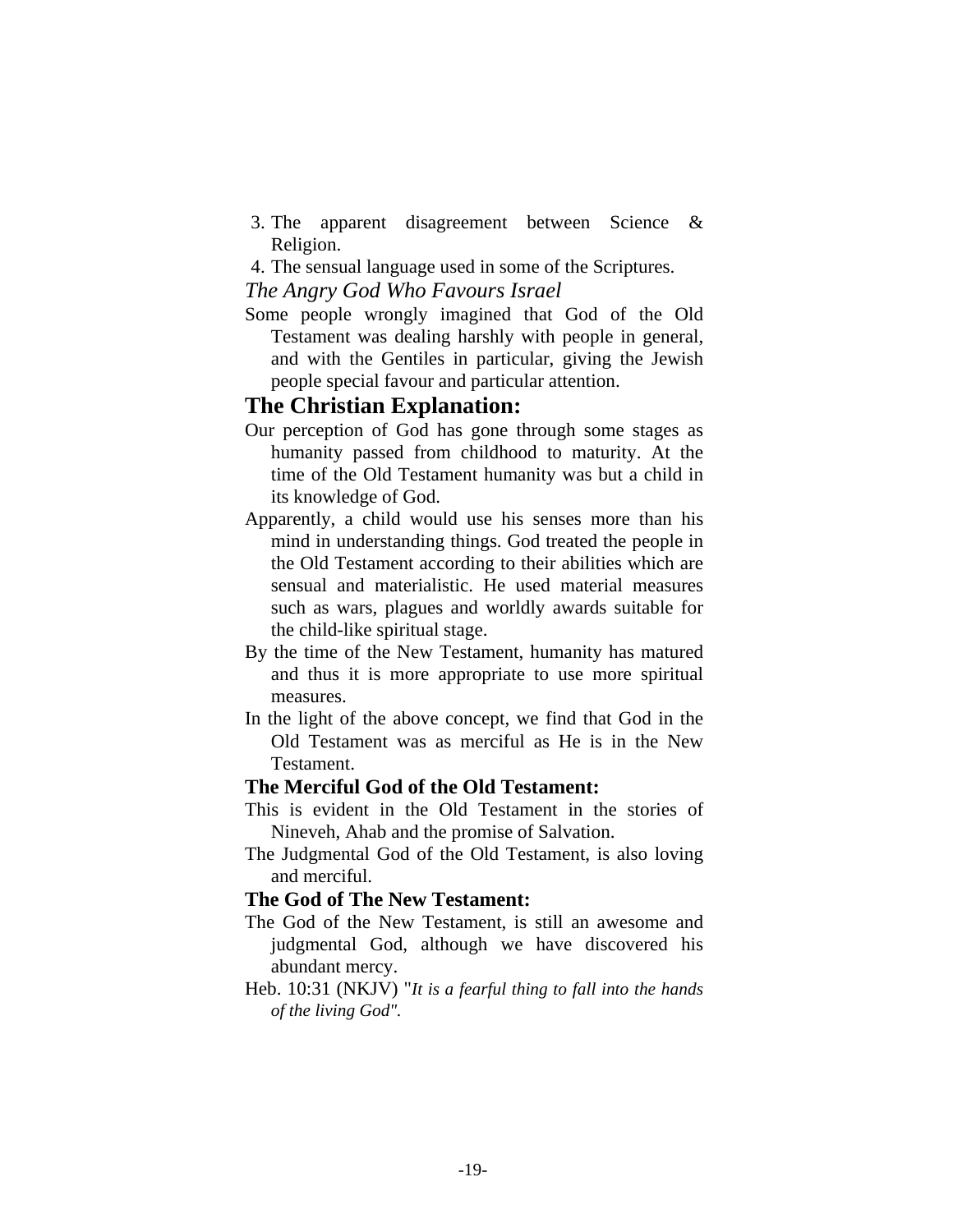- 3. The apparent disagreement between Science & Religion.
- 4. The sensual language used in some of the Scriptures.

# *The Angry God Who Favours Israel*

Some people wrongly imagined that God of the Old Testament was dealing harshly with people in general, and with the Gentiles in particular, giving the Jewish people special favour and particular attention.

# **The Christian Explanation:**

- Our perception of God has gone through some stages as humanity passed from childhood to maturity. At the time of the Old Testament humanity was but a child in its knowledge of God.
- Apparently, a child would use his senses more than his mind in understanding things. God treated the people in the Old Testament according to their abilities which are sensual and materialistic. He used material measures such as wars, plagues and worldly awards suitable for the child-like spiritual stage.
- By the time of the New Testament, humanity has matured and thus it is more appropriate to use more spiritual measures.
- In the light of the above concept, we find that God in the Old Testament was as merciful as He is in the New Testament.

# **The Merciful God of the Old Testament:**

- This is evident in the Old Testament in the stories of Nineveh, Ahab and the promise of Salvation.
- The Judgmental God of the Old Testament, is also loving and merciful.

# **The God of The New Testament:**

- The God of the New Testament, is still an awesome and judgmental God, although we have discovered his abundant mercy.
- Heb. 10:31 (NKJV) "*It is a fearful thing to fall into the hands of the living God".*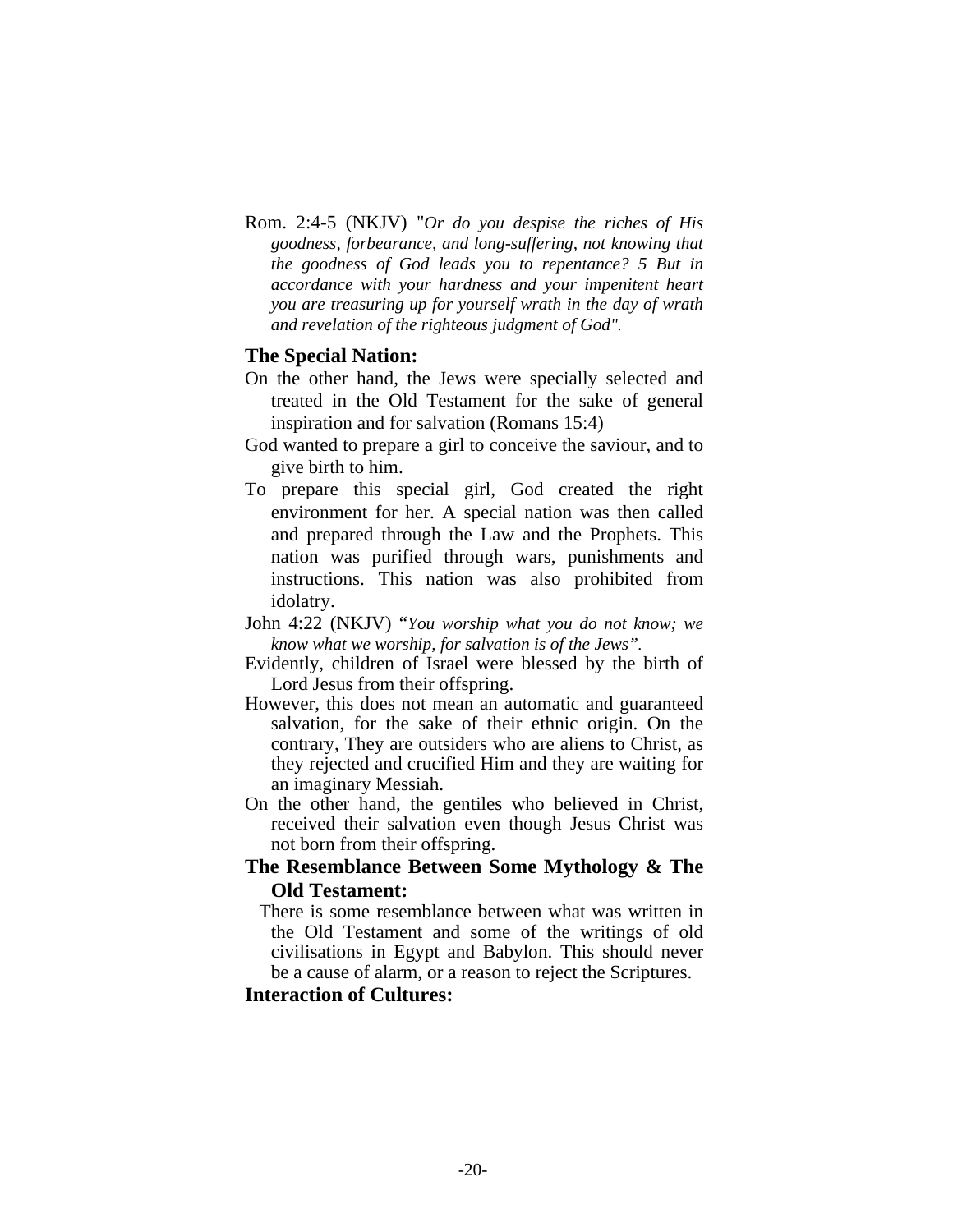Rom. 2:4-5 (NKJV) "*Or do you despise the riches of His goodness, forbearance, and long-suffering, not knowing that the goodness of God leads you to repentance? 5 But in accordance with your hardness and your impenitent heart you are treasuring up for yourself wrath in the day of wrath and revelation of the righteous judgment of God".* 

## **The Special Nation:**

- On the other hand, the Jews were specially selected and treated in the Old Testament for the sake of general inspiration and for salvation (Romans 15:4)
- God wanted to prepare a girl to conceive the saviour, and to give birth to him.
- To prepare this special girl, God created the right environment for her. A special nation was then called and prepared through the Law and the Prophets. This nation was purified through wars, punishments and instructions. This nation was also prohibited from idolatry.
- John 4:22 (NKJV) "*You worship what you do not know; we know what we worship, for salvation is of the Jews".*
- Evidently, children of Israel were blessed by the birth of Lord Jesus from their offspring.
- However, this does not mean an automatic and guaranteed salvation, for the sake of their ethnic origin. On the contrary, They are outsiders who are aliens to Christ, as they rejected and crucified Him and they are waiting for an imaginary Messiah.
- On the other hand, the gentiles who believed in Christ, received their salvation even though Jesus Christ was not born from their offspring.

# **The Resemblance Between Some Mythology & The Old Testament:**

 There is some resemblance between what was written in the Old Testament and some of the writings of old civilisations in Egypt and Babylon. This should never be a cause of alarm, or a reason to reject the Scriptures.

# **Interaction of Cultures:**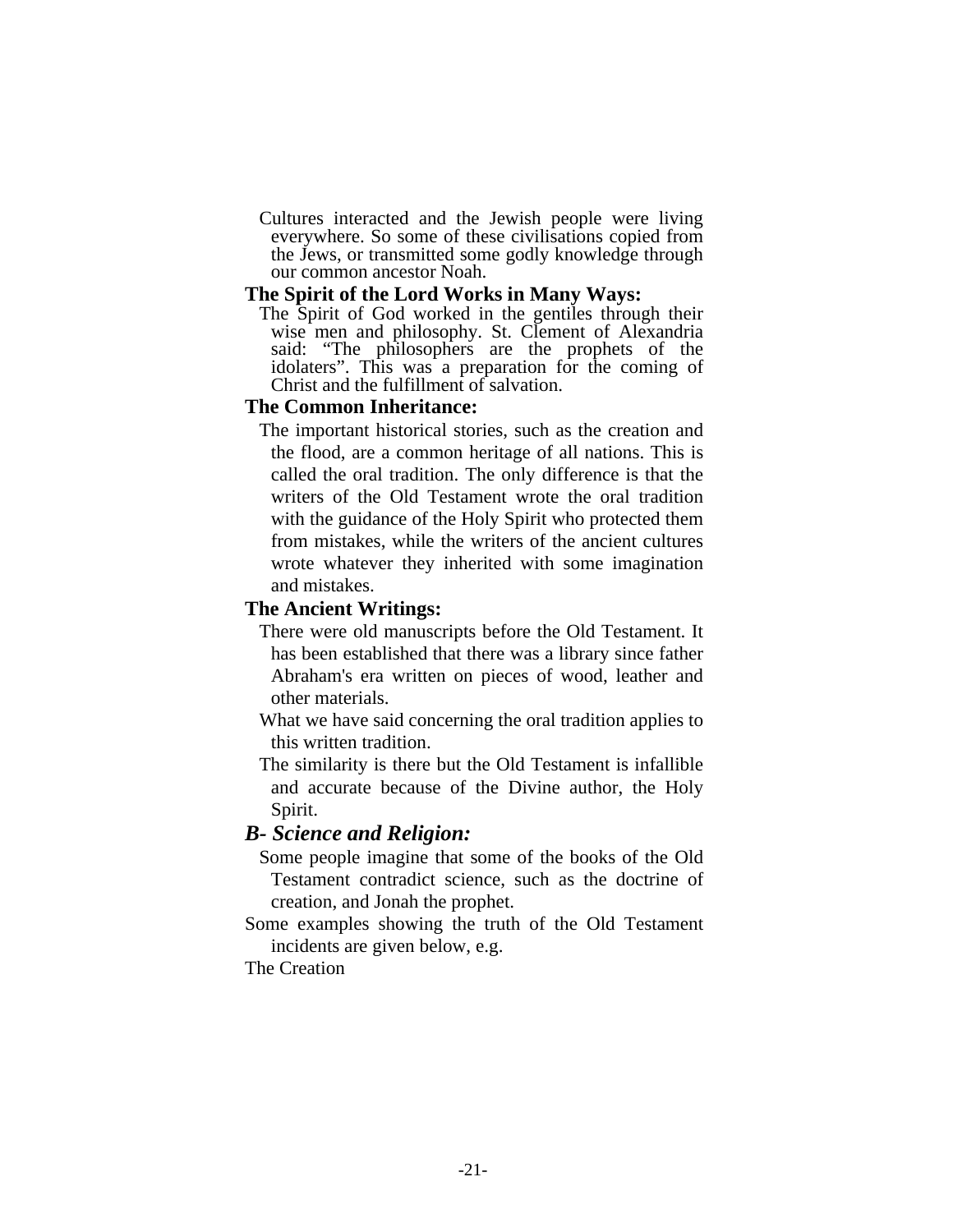Cultures interacted and the Jewish people were living everywhere. So some of these civilisations copied from the Jews, or transmitted some godly knowledge through our common ancestor Noah.

## **The Spirit of the Lord Works in Many Ways:**

 The Spirit of God worked in the gentiles through their wise men and philosophy. St. Clement of Alexandria said: "The philosophers are the prophets of the idolaters". This was a preparation for the coming of Christ and the fulfillment of salvation.

# **The Common Inheritance:**

 The important historical stories, such as the creation and the flood, are a common heritage of all nations. This is called the oral tradition. The only difference is that the writers of the Old Testament wrote the oral tradition with the guidance of the Holy Spirit who protected them from mistakes, while the writers of the ancient cultures wrote whatever they inherited with some imagination and mistakes.

# **The Ancient Writings:**

- There were old manuscripts before the Old Testament. It has been established that there was a library since father Abraham's era written on pieces of wood, leather and other materials.
- What we have said concerning the oral tradition applies to this written tradition.
- The similarity is there but the Old Testament is infallible and accurate because of the Divine author, the Holy Spirit.

# *B- Science and Religion:*

- Some people imagine that some of the books of the Old Testament contradict science, such as the doctrine of creation, and Jonah the prophet.
- Some examples showing the truth of the Old Testament incidents are given below, e.g.

The Creation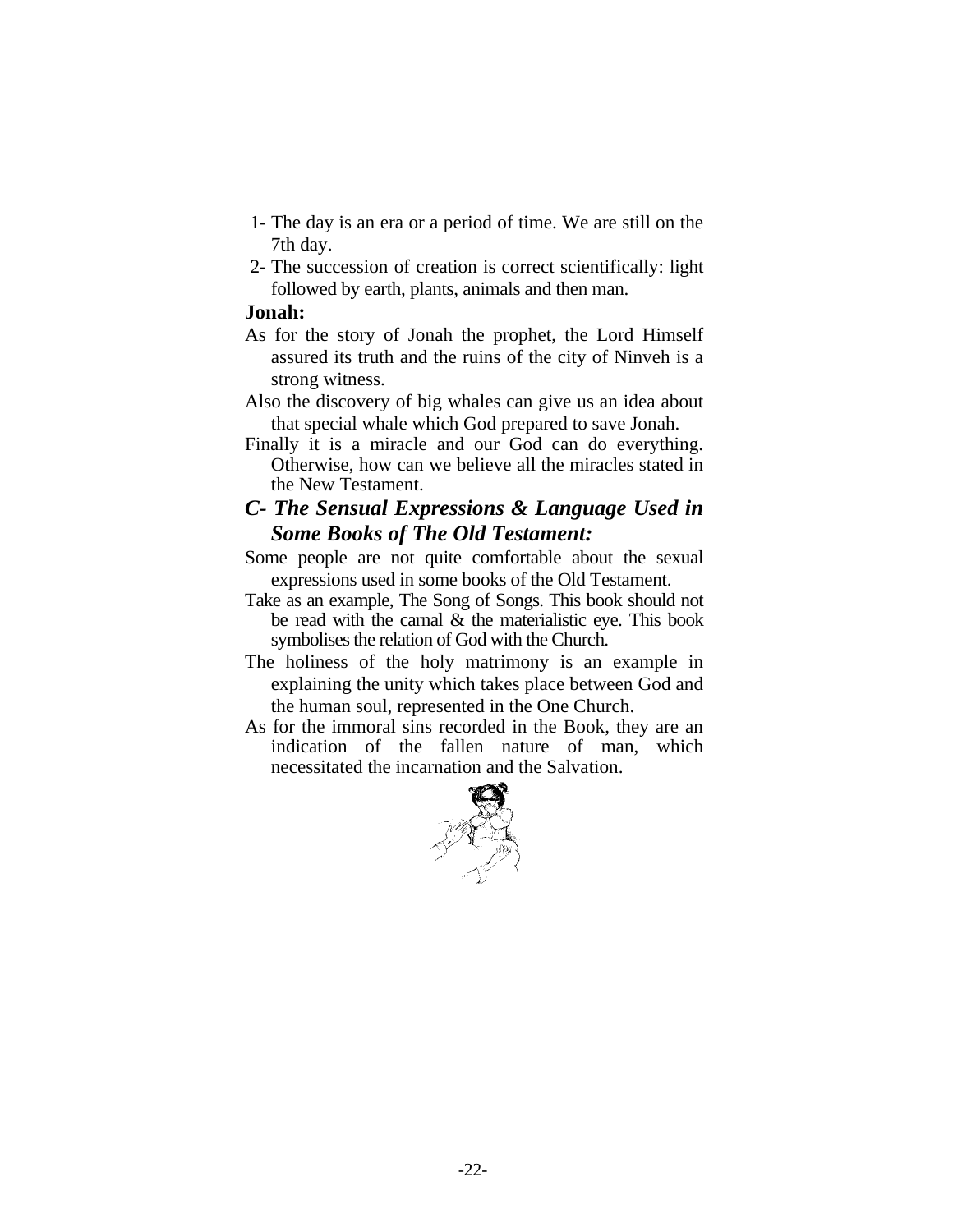- 1- The day is an era or a period of time. We are still on the 7th day.
- 2- The succession of creation is correct scientifically: light followed by earth, plants, animals and then man.

# **Jonah:**

- As for the story of Jonah the prophet, the Lord Himself assured its truth and the ruins of the city of Ninveh is a strong witness.
- Also the discovery of big whales can give us an idea about that special whale which God prepared to save Jonah.
- Finally it is a miracle and our God can do everything. Otherwise, how can we believe all the miracles stated in the New Testament.

# *C- The Sensual Expressions & Language Used in Some Books of The Old Testament:*

- Some people are not quite comfortable about the sexual expressions used in some books of the Old Testament.
- Take as an example, The Song of Songs. This book should not be read with the carnal & the materialistic eye. This book symbolises the relation of God with the Church.
- The holiness of the holy matrimony is an example in explaining the unity which takes place between God and the human soul, represented in the One Church.
- As for the immoral sins recorded in the Book, they are an indication of the fallen nature of man, which necessitated the incarnation and the Salvation.

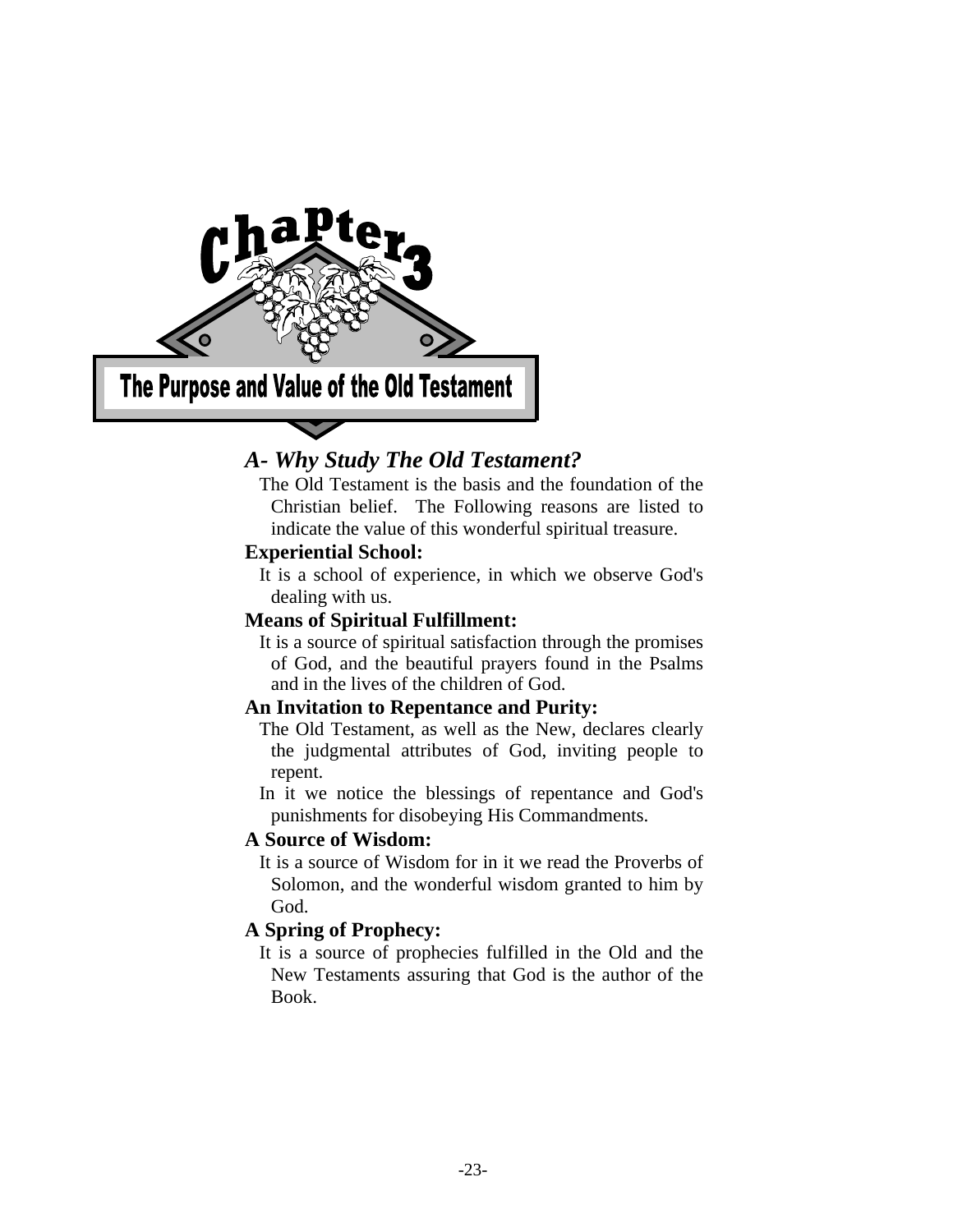

# *A- Why Study The Old Testament?*

 The Old Testament is the basis and the foundation of the Christian belief. The Following reasons are listed to indicate the value of this wonderful spiritual treasure.

# **Experiential School:**

 It is a school of experience, in which we observe God's dealing with us.

# **Means of Spiritual Fulfillment:**

 It is a source of spiritual satisfaction through the promises of God, and the beautiful prayers found in the Psalms and in the lives of the children of God.

# **An Invitation to Repentance and Purity:**

 The Old Testament, as well as the New, declares clearly the judgmental attributes of God, inviting people to repent.

 In it we notice the blessings of repentance and God's punishments for disobeying His Commandments.

# **A Source of Wisdom:**

 It is a source of Wisdom for in it we read the Proverbs of Solomon, and the wonderful wisdom granted to him by God.

# **A Spring of Prophecy:**

 It is a source of prophecies fulfilled in the Old and the New Testaments assuring that God is the author of the Book.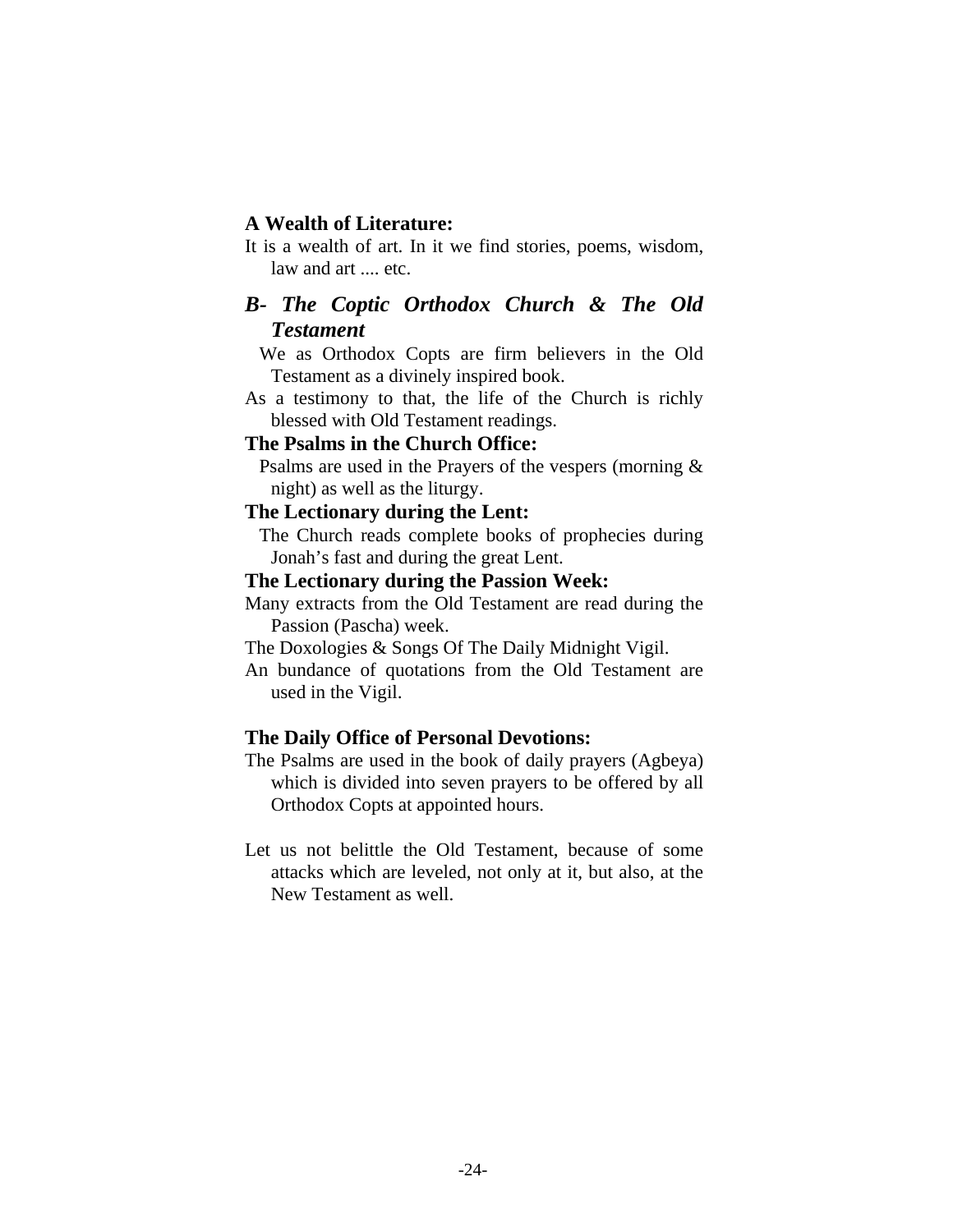# **A Wealth of Literature:**

It is a wealth of art. In it we find stories, poems, wisdom, law and art .... etc.

# *B- The Coptic Orthodox Church & The Old Testament*

 We as Orthodox Copts are firm believers in the Old Testament as a divinely inspired book.

As a testimony to that, the life of the Church is richly blessed with Old Testament readings.

# **The Psalms in the Church Office:**

 Psalms are used in the Prayers of the vespers (morning & night) as well as the liturgy.

# **The Lectionary during the Lent:**

 The Church reads complete books of prophecies during Jonah's fast and during the great Lent.

# **The Lectionary during the Passion Week:**

Many extracts from the Old Testament are read during the Passion (Pascha) week.

The Doxologies & Songs Of The Daily Midnight Vigil.

An bundance of quotations from the Old Testament are used in the Vigil.

## **The Daily Office of Personal Devotions:**

The Psalms are used in the book of daily prayers (Agbeya) which is divided into seven prayers to be offered by all Orthodox Copts at appointed hours.

Let us not belittle the Old Testament, because of some attacks which are leveled, not only at it, but also, at the New Testament as well.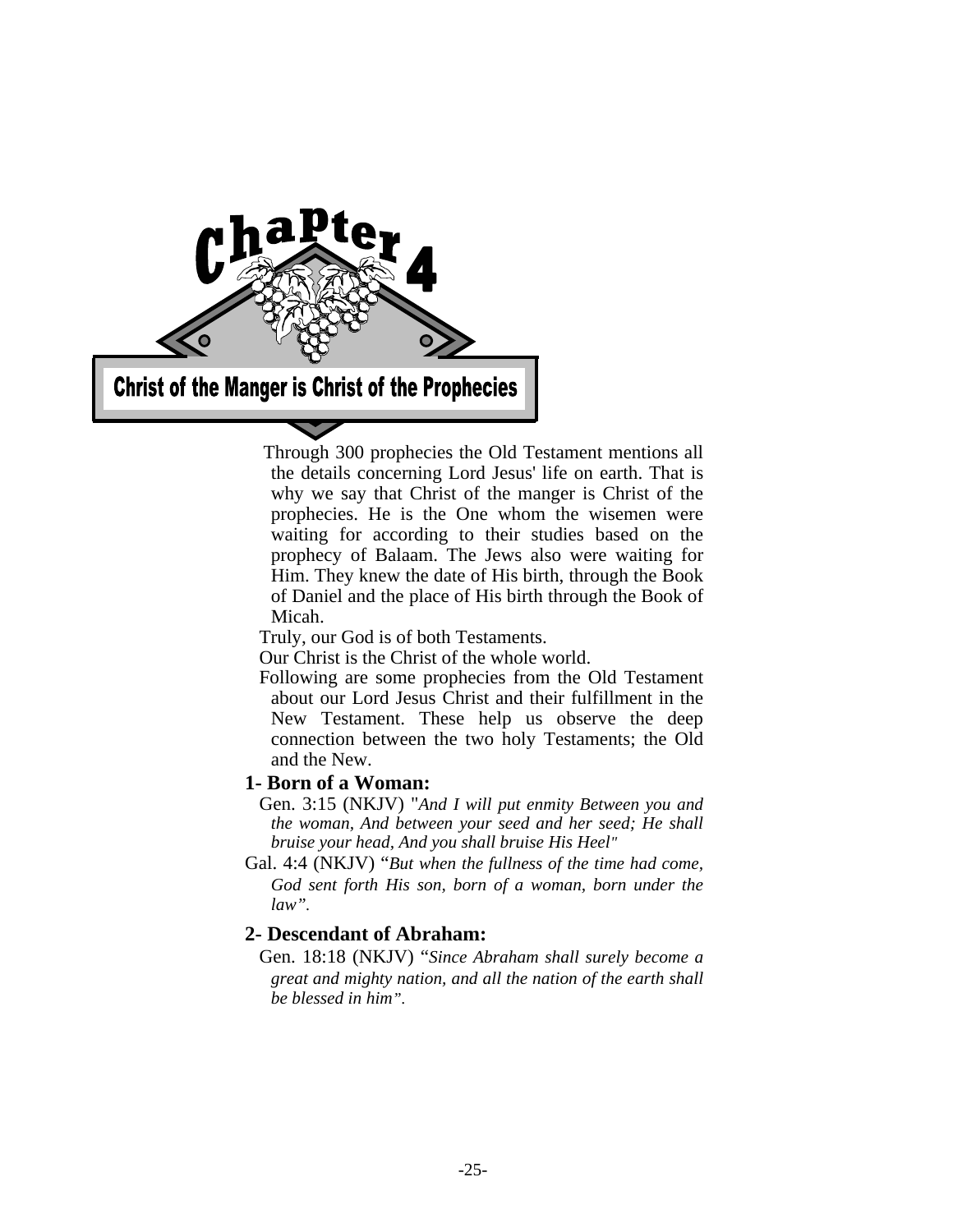

 Through 300 prophecies the Old Testament mentions all the details concerning Lord Jesus' life on earth. That is why we say that Christ of the manger is Christ of the prophecies. He is the One whom the wisemen were waiting for according to their studies based on the prophecy of Balaam. The Jews also were waiting for Him. They knew the date of His birth, through the Book of Daniel and the place of His birth through the Book of Micah.

Truly, our God is of both Testaments.

Our Christ is the Christ of the whole world.

 Following are some prophecies from the Old Testament about our Lord Jesus Christ and their fulfillment in the New Testament. These help us observe the deep connection between the two holy Testaments; the Old and the New.

# **1- Born of a Woman:**

 Gen. 3:15 (NKJV) "*And I will put enmity Between you and the woman, And between your seed and her seed; He shall bruise your head, And you shall bruise His Heel"* 

Gal. 4:4 (NKJV) "*But when the fullness of the time had come, God sent forth His son, born of a woman, born under the law".* 

# **2- Descendant of Abraham:**

 Gen. 18:18 (NKJV) "*Since Abraham shall surely become a great and mighty nation, and all the nation of the earth shall be blessed in him".*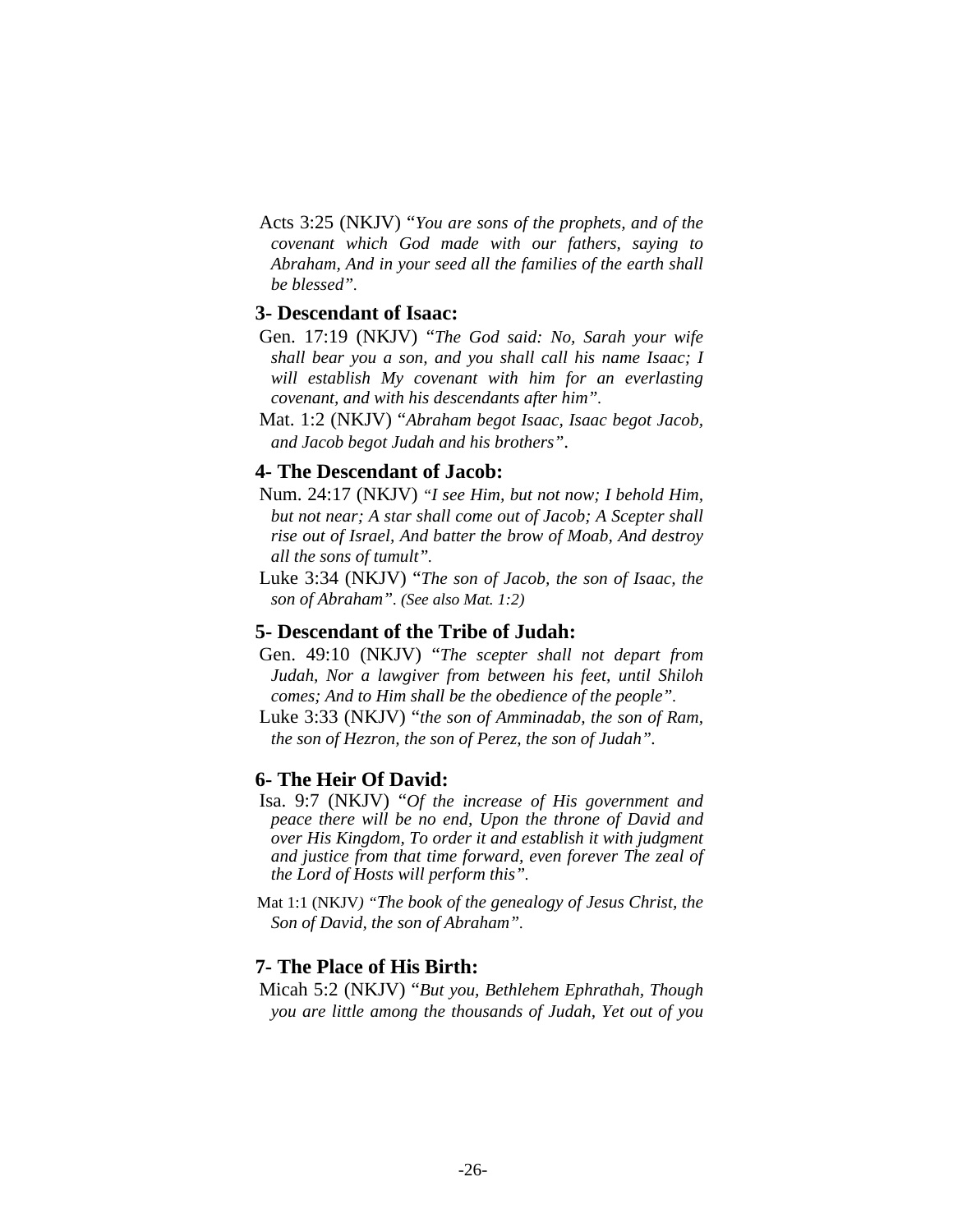Acts 3:25 (NKJV) "*You are sons of the prophets, and of the covenant which God made with our fathers, saying to Abraham, And in your seed all the families of the earth shall be blessed".*

### **3- Descendant of Isaac:**

- Gen. 17:19 (NKJV) "*The God said: No, Sarah your wife shall bear you a son, and you shall call his name Isaac; I will establish My covenant with him for an everlasting covenant, and with his descendants after him".*
- Mat. 1:2 (NKJV) "*Abraham begot Isaac, Isaac begot Jacob, and Jacob begot Judah and his brothers"*.

# **4- The Descendant of Jacob:**

- Num. 24:17 (NKJV) *"I see Him, but not now; I behold Him, but not near; A star shall come out of Jacob; A Scepter shall rise out of Israel, And batter the brow of Moab, And destroy all the sons of tumult".*
- Luke 3:34 (NKJV) "*The son of Jacob, the son of Isaac, the son of Abraham". (See also Mat. 1:2)*

# **5- Descendant of the Tribe of Judah:**

- Gen. 49:10 (NKJV) "*The scepter shall not depart from Judah, Nor a lawgiver from between his feet, until Shiloh comes; And to Him shall be the obedience of the people".*
- Luke 3:33 (NKJV) "*the son of Amminadab, the son of Ram, the son of Hezron, the son of Perez, the son of Judah".*

## **6- The Heir Of David:**

- Isa. 9:7 (NKJV) "*Of the increase of His government and peace there will be no end, Upon the throne of David and over His Kingdom, To order it and establish it with judgment and justice from that time forward, even forever The zeal of the Lord of Hosts will perform this".*
- Mat 1:1 (NKJV*) "The book of the genealogy of Jesus Christ, the Son of David, the son of Abraham".*

### **7- The Place of His Birth:**

 Micah 5:2 (NKJV) "*But you, Bethlehem Ephrathah, Though you are little among the thousands of Judah, Yet out of you*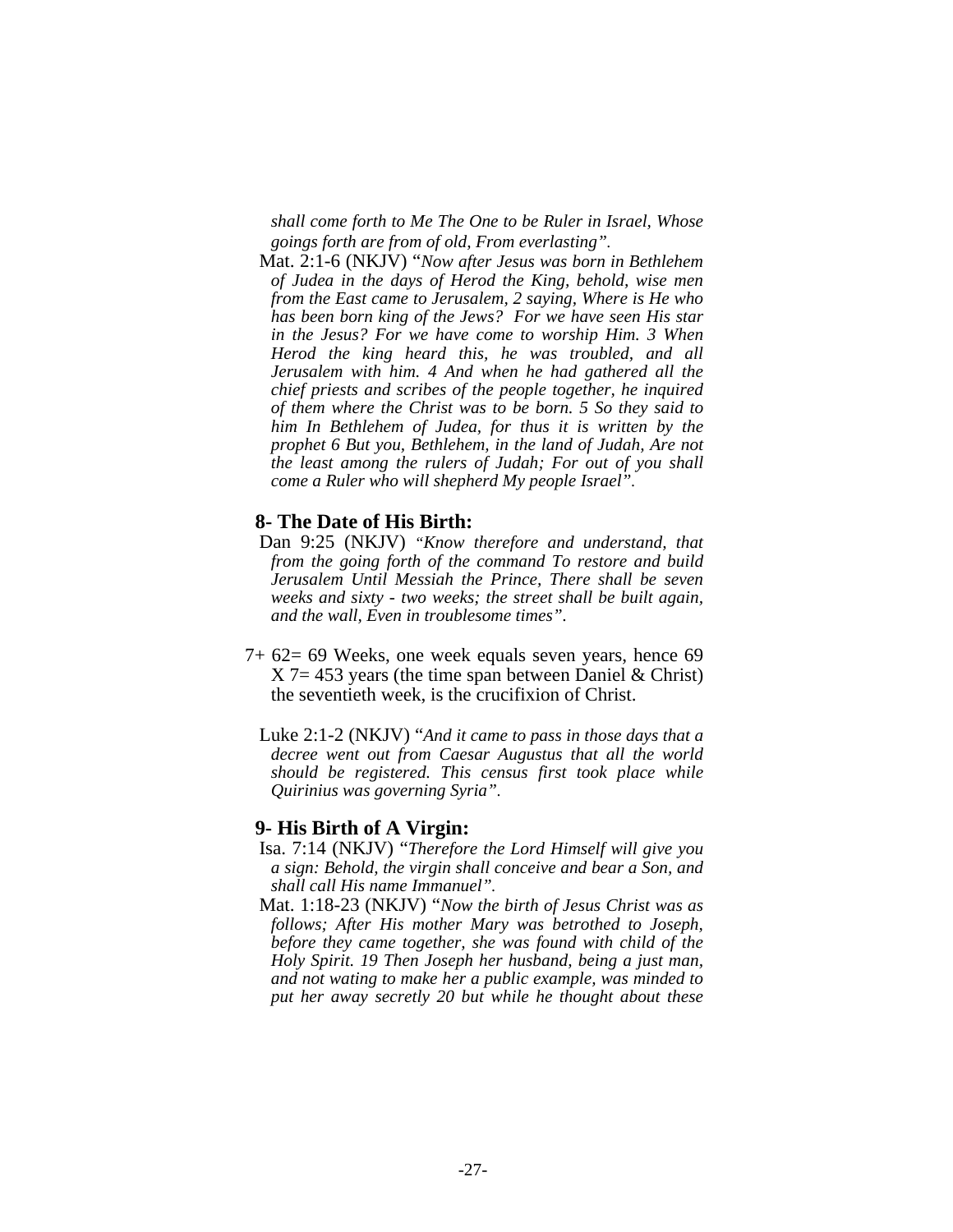*shall come forth to Me The One to be Ruler in Israel, Whose goings forth are from of old, From everlasting".* 

 Mat. 2:1-6 (NKJV) "*Now after Jesus was born in Bethlehem of Judea in the days of Herod the King, behold, wise men from the East came to Jerusalem, 2 saying, Where is He who has been born king of the Jews? For we have seen His star in the Jesus? For we have come to worship Him. 3 When Herod the king heard this, he was troubled, and all Jerusalem with him. 4 And when he had gathered all the chief priests and scribes of the people together, he inquired of them where the Christ was to be born. 5 So they said to him In Bethlehem of Judea, for thus it is written by the prophet 6 But you, Bethlehem, in the land of Judah, Are not the least among the rulers of Judah; For out of you shall come a Ruler who will shepherd My people Israel".* 

#### **8- The Date of His Birth:**

- Dan 9:25 (NKJV) *"Know therefore and understand, that from the going forth of the command To restore and build Jerusalem Until Messiah the Prince, There shall be seven weeks and sixty - two weeks; the street shall be built again, and the wall, Even in troublesome times".*
- 7+ 62= 69 Weeks, one week equals seven years, hence 69  $X$  7 = 453 years (the time span between Daniel & Christ) the seventieth week, is the crucifixion of Christ.
	- Luke 2:1-2 (NKJV) "*And it came to pass in those days that a decree went out from Caesar Augustus that all the world should be registered. This census first took place while Quirinius was governing Syria".*

#### **9- His Birth of A Virgin:**

- Isa. 7:14 (NKJV) "*Therefore the Lord Himself will give you a sign: Behold, the virgin shall conceive and bear a Son, and shall call His name Immanuel".*
- Mat. 1:18-23 (NKJV) "*Now the birth of Jesus Christ was as follows; After His mother Mary was betrothed to Joseph, before they came together, she was found with child of the Holy Spirit. 19 Then Joseph her husband, being a just man, and not wating to make her a public example, was minded to put her away secretly 20 but while he thought about these*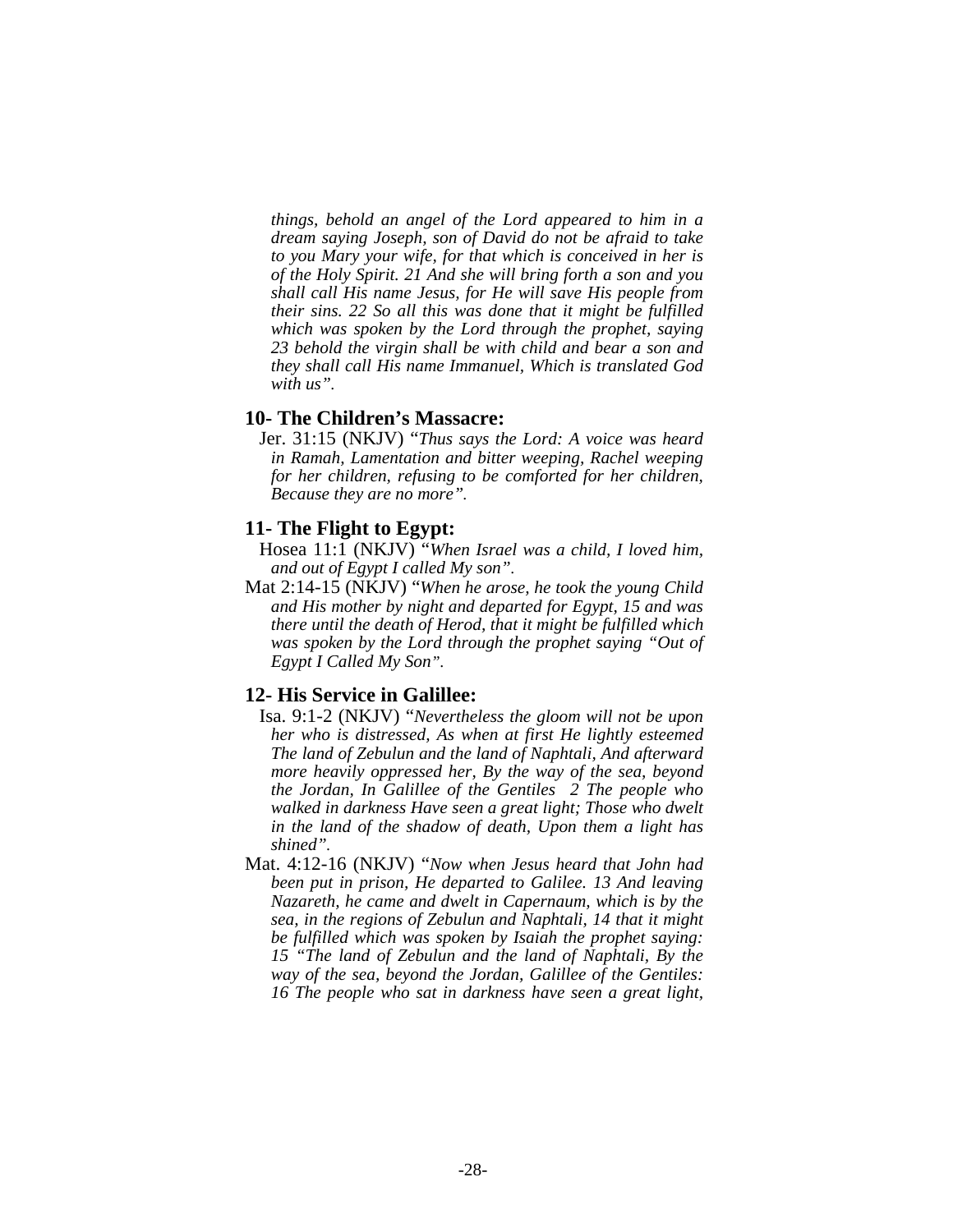*things, behold an angel of the Lord appeared to him in a dream saying Joseph, son of David do not be afraid to take to you Mary your wife, for that which is conceived in her is of the Holy Spirit. 21 And she will bring forth a son and you shall call His name Jesus, for He will save His people from their sins. 22 So all this was done that it might be fulfilled which was spoken by the Lord through the prophet, saying 23 behold the virgin shall be with child and bear a son and they shall call His name Immanuel, Which is translated God with us".* 

# **10- The Children's Massacre:**

 Jer. 31:15 (NKJV) "*Thus says the Lord: A voice was heard in Ramah, Lamentation and bitter weeping, Rachel weeping for her children, refusing to be comforted for her children, Because they are no more".* 

#### **11- The Flight to Egypt:**

- Hosea 11:1 (NKJV) "*When Israel was a child, I loved him, and out of Egypt I called My son".*
- Mat 2:14-15 (NKJV) "*When he arose, he took the young Child and His mother by night and departed for Egypt, 15 and was there until the death of Herod, that it might be fulfilled which was spoken by the Lord through the prophet saying "Out of Egypt I Called My Son".*

## **12- His Service in Galillee:**

- Isa. 9:1-2 (NKJV) "*Nevertheless the gloom will not be upon her who is distressed, As when at first He lightly esteemed The land of Zebulun and the land of Naphtali, And afterward more heavily oppressed her, By the way of the sea, beyond the Jordan, In Galillee of the Gentiles 2 The people who walked in darkness Have seen a great light; Those who dwelt in the land of the shadow of death, Upon them a light has shined".*
- Mat. 4:12-16 (NKJV) "*Now when Jesus heard that John had been put in prison, He departed to Galilee. 13 And leaving Nazareth, he came and dwelt in Capernaum, which is by the sea, in the regions of Zebulun and Naphtali, 14 that it might be fulfilled which was spoken by Isaiah the prophet saying: 15 "The land of Zebulun and the land of Naphtali, By the way of the sea, beyond the Jordan, Galillee of the Gentiles: 16 The people who sat in darkness have seen a great light,*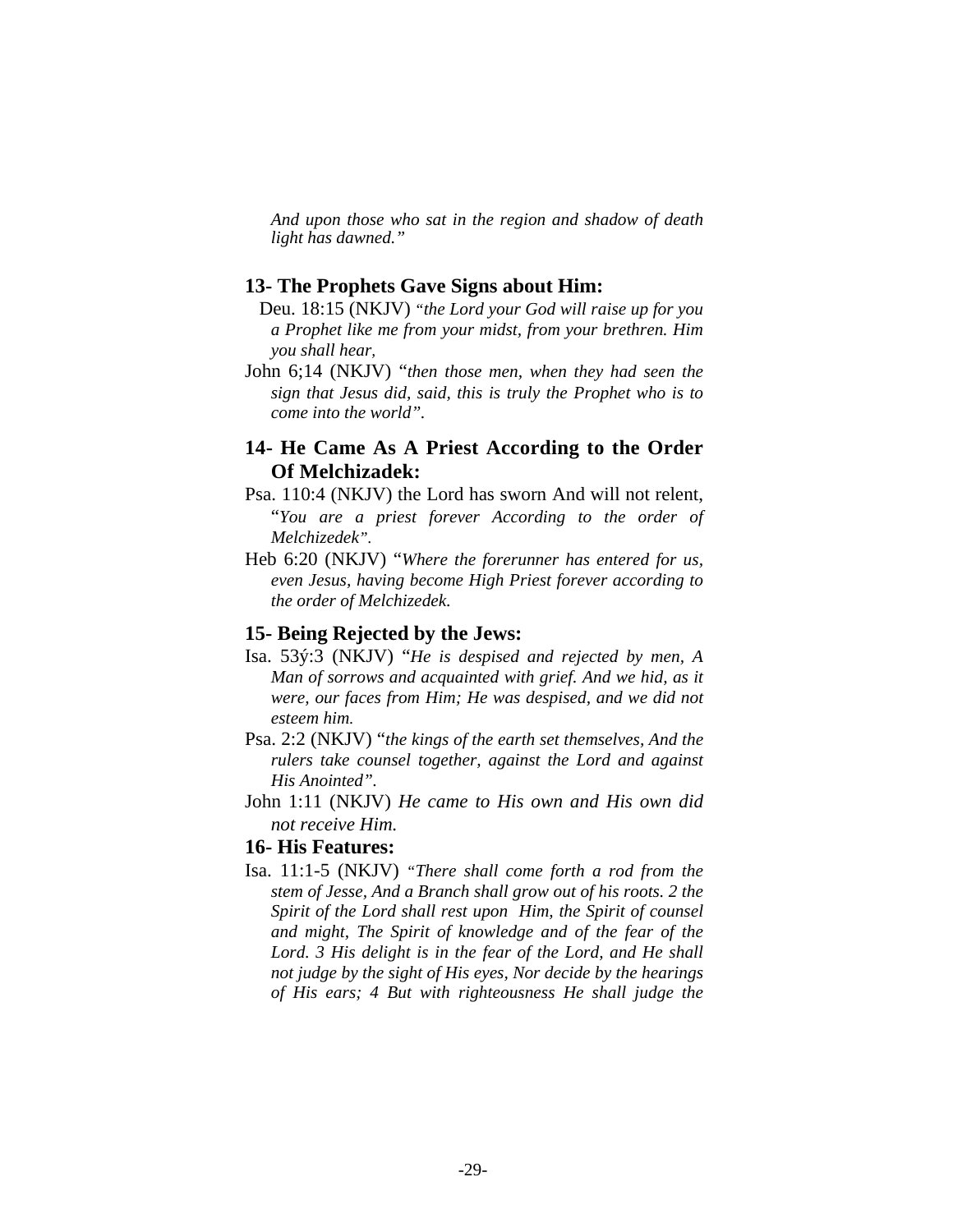*And upon those who sat in the region and shadow of death light has dawned."* 

#### **13- The Prophets Gave Signs about Him:**

- Deu. 18:15 (NKJV) *"the Lord your God will raise up for you a Prophet like me from your midst, from your brethren. Him you shall hear,*
- John 6;14 (NKJV) "*then those men, when they had seen the sign that Jesus did, said, this is truly the Prophet who is to come into the world".*

# **14- He Came As A Priest According to the Order Of Melchizadek:**

- Psa. 110:4 (NKJV) the Lord has sworn And will not relent, "*You are a priest forever According to the order of Melchizedek".*
- Heb 6:20 (NKJV) "*Where the forerunner has entered for us, even Jesus, having become High Priest forever according to the order of Melchizedek.*

# **15- Being Rejected by the Jews:**

- Isa. 53ý:3 (NKJV) "*He is despised and rejected by men, A Man of sorrows and acquainted with grief. And we hid, as it were, our faces from Him; He was despised, and we did not esteem him.*
- Psa. 2:2 (NKJV) "*the kings of the earth set themselves, And the rulers take counsel together, against the Lord and against His Anointed".*
- John 1:11 (NKJV) *He came to His own and His own did not receive Him.*

# **16- His Features:**

Isa. 11:1-5 (NKJV) *"There shall come forth a rod from the stem of Jesse, And a Branch shall grow out of his roots. 2 the Spirit of the Lord shall rest upon Him, the Spirit of counsel and might, The Spirit of knowledge and of the fear of the Lord. 3 His delight is in the fear of the Lord, and He shall not judge by the sight of His eyes, Nor decide by the hearings of His ears; 4 But with righteousness He shall judge the*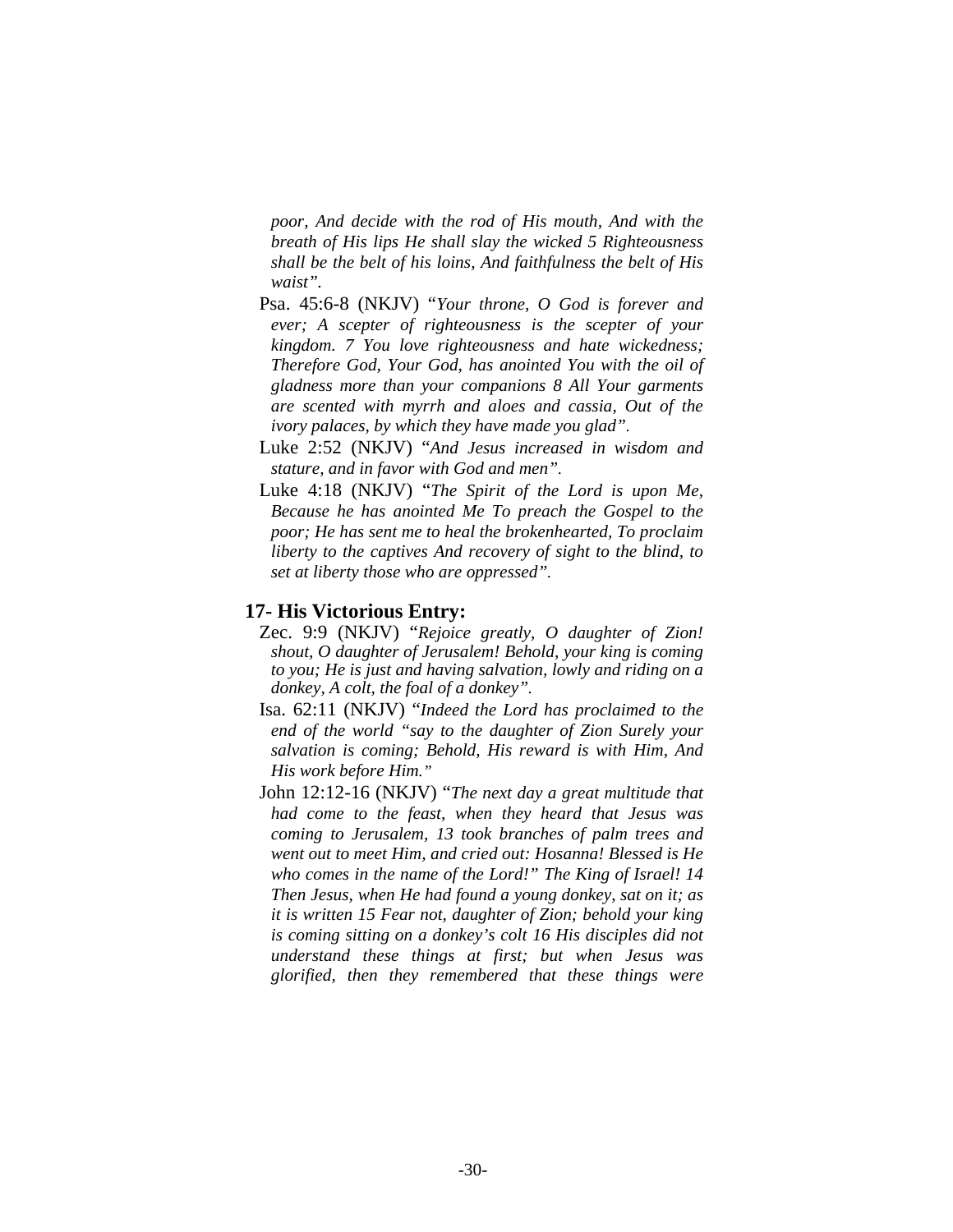*poor, And decide with the rod of His mouth, And with the breath of His lips He shall slay the wicked 5 Righteousness shall be the belt of his loins, And faithfulness the belt of His waist".*

- Psa. 45:6-8 (NKJV) "*Your throne, O God is forever and ever; A scepter of righteousness is the scepter of your kingdom. 7 You love righteousness and hate wickedness; Therefore God, Your God, has anointed You with the oil of gladness more than your companions 8 All Your garments are scented with myrrh and aloes and cassia, Out of the ivory palaces, by which they have made you glad".*
- Luke 2:52 (NKJV) "*And Jesus increased in wisdom and stature, and in favor with God and men".*
- Luke 4:18 (NKJV) "*The Spirit of the Lord is upon Me, Because he has anointed Me To preach the Gospel to the poor; He has sent me to heal the brokenhearted, To proclaim liberty to the captives And recovery of sight to the blind, to set at liberty those who are oppressed".*

# **17- His Victorious Entry:**

- Zec. 9:9 (NKJV) "*Rejoice greatly, O daughter of Zion! shout, O daughter of Jerusalem! Behold, your king is coming to you; He is just and having salvation, lowly and riding on a donkey, A colt, the foal of a donkey".*
- Isa. 62:11 (NKJV) "*Indeed the Lord has proclaimed to the end of the world "say to the daughter of Zion Surely your salvation is coming; Behold, His reward is with Him, And His work before Him."*
- John 12:12-16 (NKJV) "*The next day a great multitude that had come to the feast, when they heard that Jesus was coming to Jerusalem, 13 took branches of palm trees and went out to meet Him, and cried out: Hosanna! Blessed is He who comes in the name of the Lord!" The King of Israel! 14 Then Jesus, when He had found a young donkey, sat on it; as it is written 15 Fear not, daughter of Zion; behold your king is coming sitting on a donkey's colt 16 His disciples did not understand these things at first; but when Jesus was glorified, then they remembered that these things were*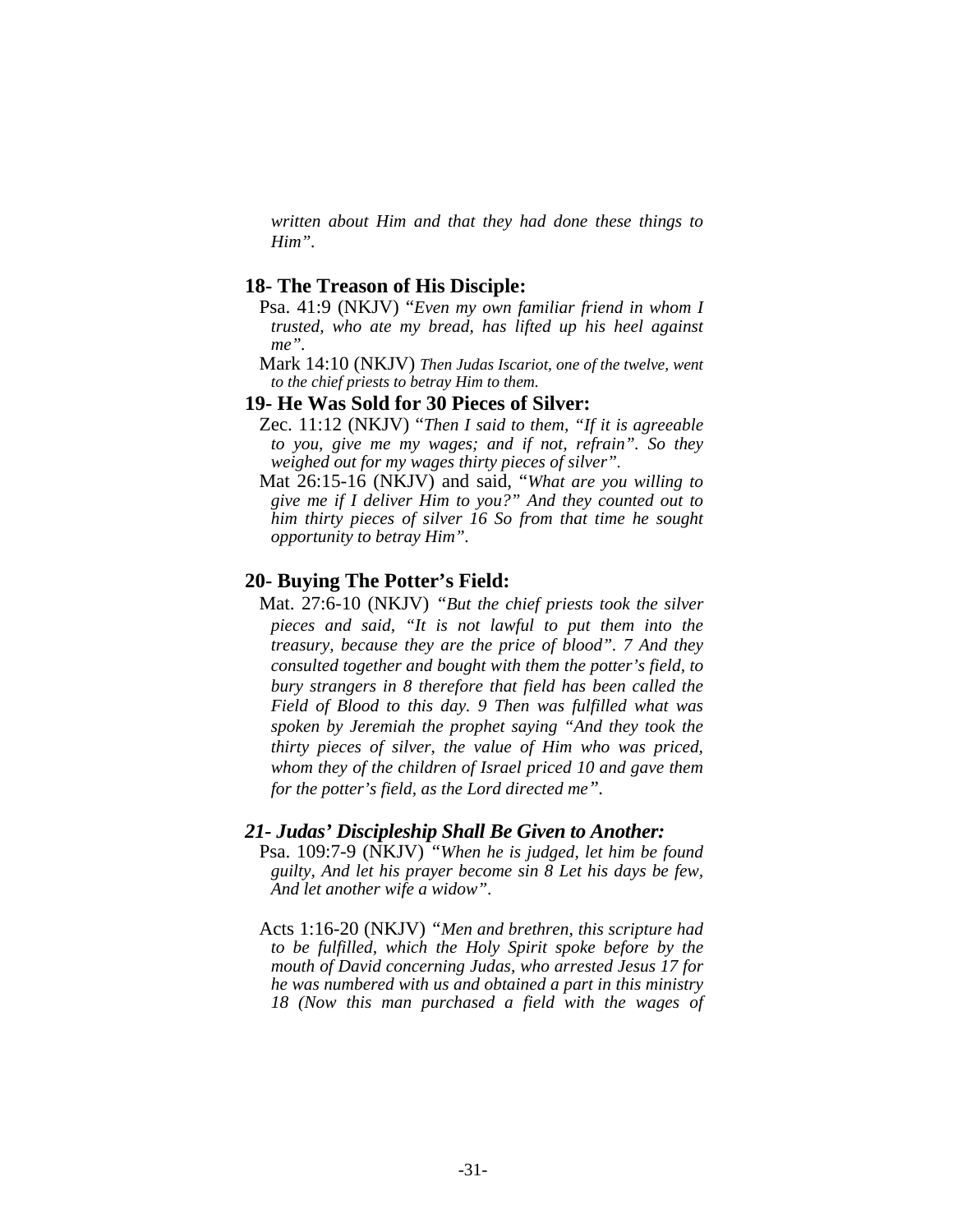*written about Him and that they had done these things to Him".* 

#### **18- The Treason of His Disciple:**

- Psa. 41:9 (NKJV) "*Even my own familiar friend in whom I trusted, who ate my bread, has lifted up his heel against me".*
- Mark 14:10 (NKJV) *Then Judas Iscariot, one of the twelve, went to the chief priests to betray Him to them.*

#### **19- He Was Sold for 30 Pieces of Silver:**

- Zec. 11:12 (NKJV) "*Then I said to them, "If it is agreeable to you, give me my wages; and if not, refrain". So they weighed out for my wages thirty pieces of silver".*
- Mat 26:15-16 (NKJV) and said, "*What are you willing to give me if I deliver Him to you?" And they counted out to him thirty pieces of silver 16 So from that time he sought opportunity to betray Him".*

#### **20- Buying The Potter's Field:**

 Mat. 27:6-10 (NKJV) *"But the chief priests took the silver pieces and said, "It is not lawful to put them into the treasury, because they are the price of blood". 7 And they consulted together and bought with them the potter's field, to bury strangers in 8 therefore that field has been called the Field of Blood to this day. 9 Then was fulfilled what was spoken by Jeremiah the prophet saying "And they took the thirty pieces of silver, the value of Him who was priced, whom they of the children of Israel priced 10 and gave them for the potter's field, as the Lord directed me".* 

#### *21- Judas' Discipleship Shall Be Given to Another:*

- Psa. 109:7-9 (NKJV) *"When he is judged, let him be found guilty, And let his prayer become sin 8 Let his days be few, And let another wife a widow"*.
- Acts 1:16-20 (NKJV) *"Men and brethren, this scripture had to be fulfilled, which the Holy Spirit spoke before by the mouth of David concerning Judas, who arrested Jesus 17 for he was numbered with us and obtained a part in this ministry 18 (Now this man purchased a field with the wages of*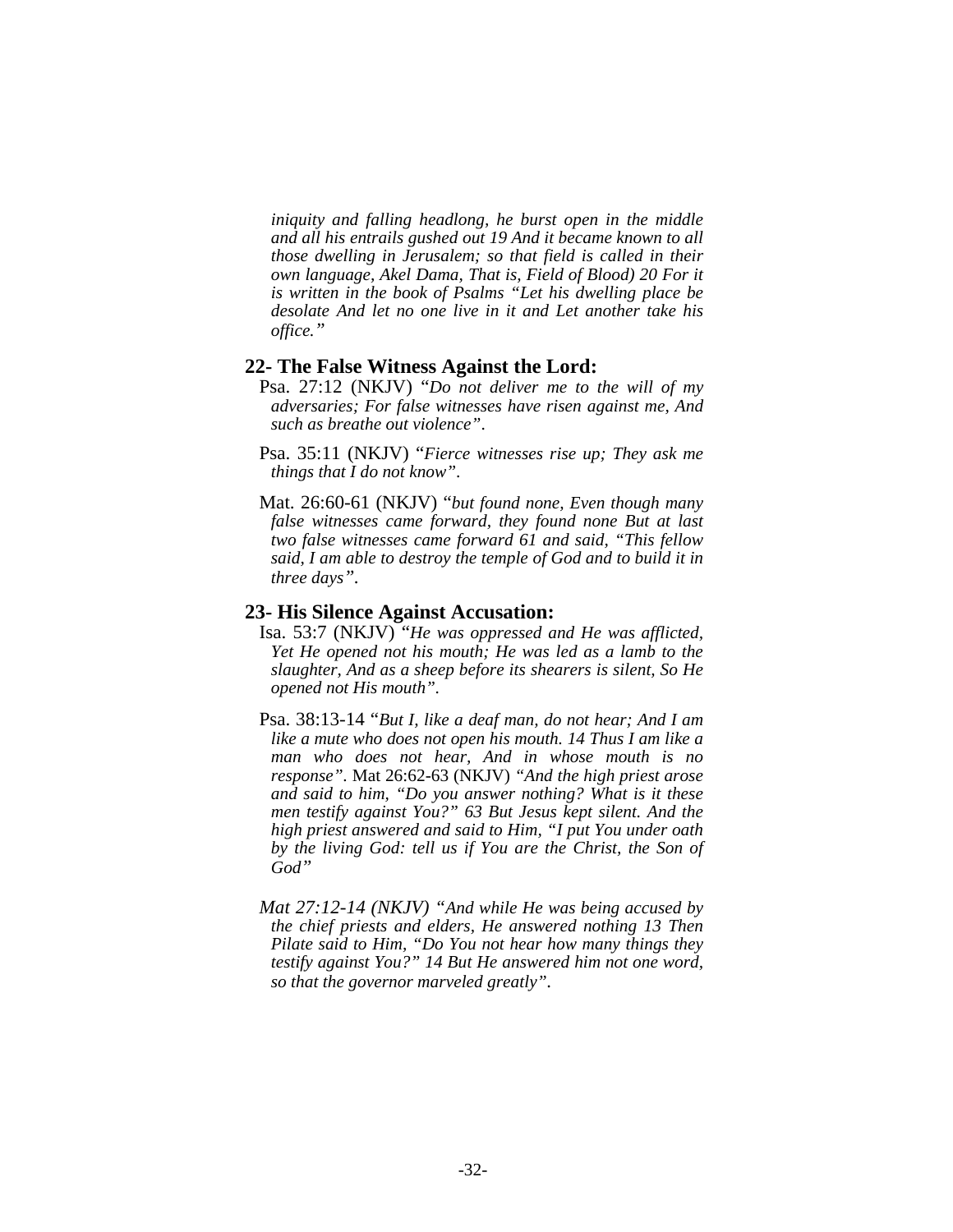*iniquity and falling headlong, he burst open in the middle and all his entrails gushed out 19 And it became known to all those dwelling in Jerusalem; so that field is called in their own language, Akel Dama, That is, Field of Blood) 20 For it is written in the book of Psalms "Let his dwelling place be desolate And let no one live in it and Let another take his office."* 

#### **22- The False Witness Against the Lord:**

- Psa. 27:12 (NKJV) "*Do not deliver me to the will of my adversaries; For false witnesses have risen against me, And such as breathe out violence"*.
- Psa. 35:11 (NKJV) "*Fierce witnesses rise up; They ask me things that I do not know"*.
- Mat. 26:60-61 (NKJV) "*but found none, Even though many false witnesses came forward, they found none But at last two false witnesses came forward 61 and said, "This fellow said, I am able to destroy the temple of God and to build it in three days".*

#### **23- His Silence Against Accusation:**

- Isa. 53:7 (NKJV) "*He was oppressed and He was afflicted, Yet He opened not his mouth; He was led as a lamb to the slaughter, And as a sheep before its shearers is silent, So He opened not His mouth".*
- Psa. 38:13-14 "*But I, like a deaf man, do not hear; And I am like a mute who does not open his mouth. 14 Thus I am like a man who does not hear, And in whose mouth is no response".* Mat 26:62-63 (NKJV) *"And the high priest arose and said to him, "Do you answer nothing? What is it these men testify against You?" 63 But Jesus kept silent. And the high priest answered and said to Him, "I put You under oath by the living God: tell us if You are the Christ, the Son of God"*
- *Mat 27:12-14 (NKJV) "And while He was being accused by the chief priests and elders, He answered nothing 13 Then Pilate said to Him, "Do You not hear how many things they testify against You?" 14 But He answered him not one word, so that the governor marveled greatly".*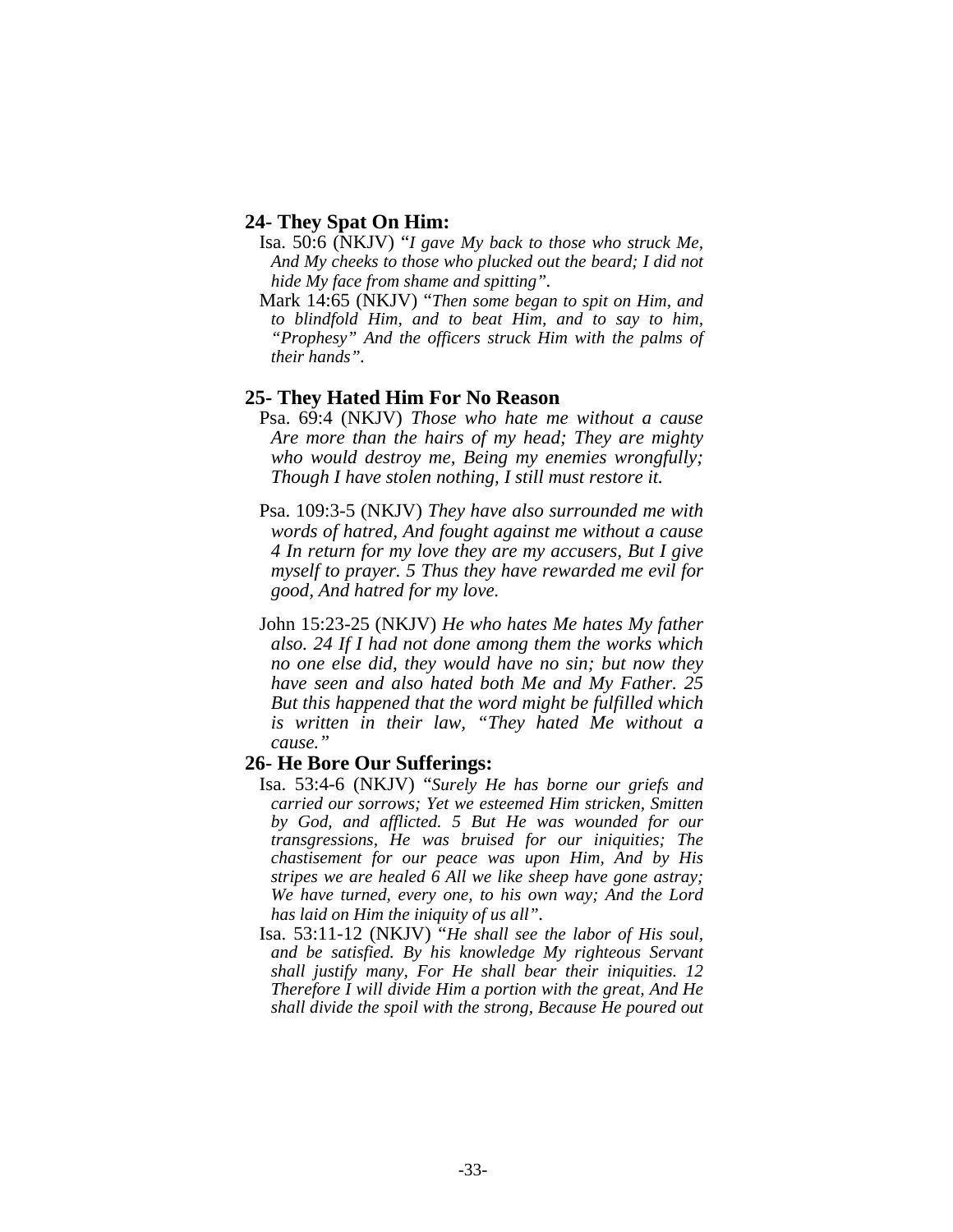## **24- They Spat On Him:**

- Isa. 50:6 (NKJV) "*I gave My back to those who struck Me, And My cheeks to those who plucked out the beard; I did not hide My face from shame and spitting".*
- Mark 14:65 (NKJV) "*Then some began to spit on Him, and to blindfold Him, and to beat Him, and to say to him, "Prophesy" And the officers struck Him with the palms of their hands".*

## **25- They Hated Him For No Reason**

- Psa. 69:4 (NKJV) *Those who hate me without a cause Are more than the hairs of my head; They are mighty who would destroy me, Being my enemies wrongfully; Though I have stolen nothing, I still must restore it.*
- Psa. 109:3-5 (NKJV) *They have also surrounded me with words of hatred, And fought against me without a cause 4 In return for my love they are my accusers, But I give myself to prayer. 5 Thus they have rewarded me evil for good, And hatred for my love.*
- John 15:23-25 (NKJV) *He who hates Me hates My father also. 24 If I had not done among them the works which no one else did, they would have no sin; but now they have seen and also hated both Me and My Father. 25 But this happened that the word might be fulfilled which is written in their law, "They hated Me without a cause."*

## **26- He Bore Our Sufferings:**

- Isa. 53:4-6 (NKJV) "*Surely He has borne our griefs and carried our sorrows; Yet we esteemed Him stricken, Smitten by God, and afflicted. 5 But He was wounded for our transgressions, He was bruised for our iniquities; The chastisement for our peace was upon Him, And by His stripes we are healed 6 All we like sheep have gone astray; We have turned, every one, to his own way; And the Lord has laid on Him the iniquity of us all".*
- Isa. 53:11-12 (NKJV) "*He shall see the labor of His soul, and be satisfied. By his knowledge My righteous Servant shall justify many, For He shall bear their iniquities. 12 Therefore I will divide Him a portion with the great, And He shall divide the spoil with the strong, Because He poured out*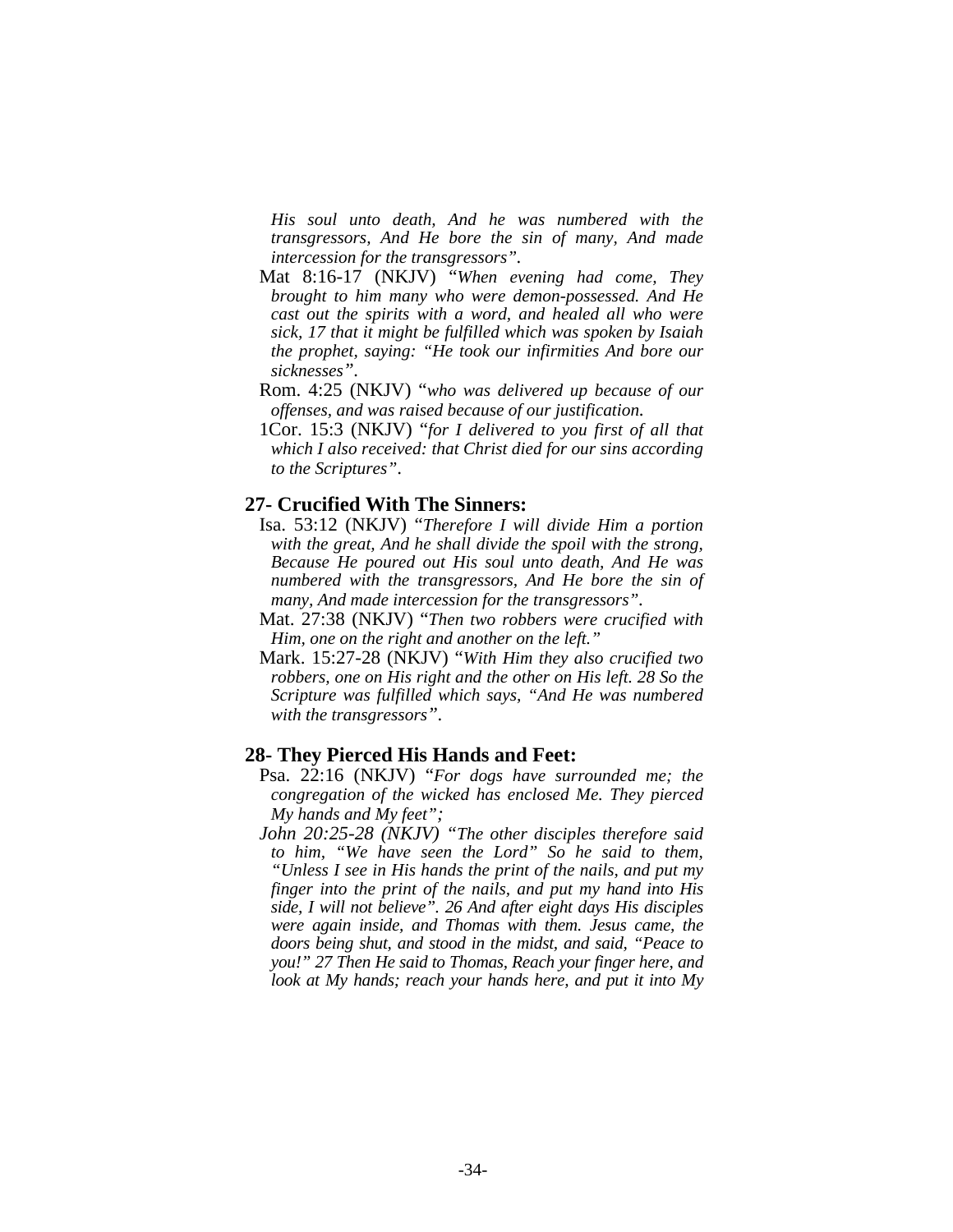*His soul unto death, And he was numbered with the transgressors, And He bore the sin of many, And made intercession for the transgressors".* 

- Mat 8:16-17 (NKJV) "*When evening had come, They brought to him many who were demon-possessed. And He cast out the spirits with a word, and healed all who were sick, 17 that it might be fulfilled which was spoken by Isaiah the prophet, saying: "He took our infirmities And bore our sicknesses".*
- Rom. 4:25 (NKJV) "*who was delivered up because of our offenses, and was raised because of our justification.*
- 1Cor. 15:3 (NKJV) "*for I delivered to you first of all that which I also received: that Christ died for our sins according to the Scriptures"*.

#### **27- Crucified With The Sinners:**

- Isa. 53:12 (NKJV) "*Therefore I will divide Him a portion with the great, And he shall divide the spoil with the strong, Because He poured out His soul unto death, And He was numbered with the transgressors, And He bore the sin of many, And made intercession for the transgressors".*
- Mat. 27:38 (NKJV) "*Then two robbers were crucified with Him, one on the right and another on the left."*
- Mark. 15:27-28 (NKJV) "*With Him they also crucified two robbers, one on His right and the other on His left. 28 So the Scripture was fulfilled which says, "And He was numbered with the transgressors".*

#### **28- They Pierced His Hands and Feet:**

- Psa. 22:16 (NKJV) "*For dogs have surrounded me; the congregation of the wicked has enclosed Me. They pierced My hands and My feet";*
- *John 20:25-28 (NKJV) "The other disciples therefore said to him, "We have seen the Lord" So he said to them, "Unless I see in His hands the print of the nails, and put my finger into the print of the nails, and put my hand into His side, I will not believe". 26 And after eight days His disciples were again inside, and Thomas with them. Jesus came, the doors being shut, and stood in the midst, and said, "Peace to you!" 27 Then He said to Thomas, Reach your finger here, and look at My hands; reach your hands here, and put it into My*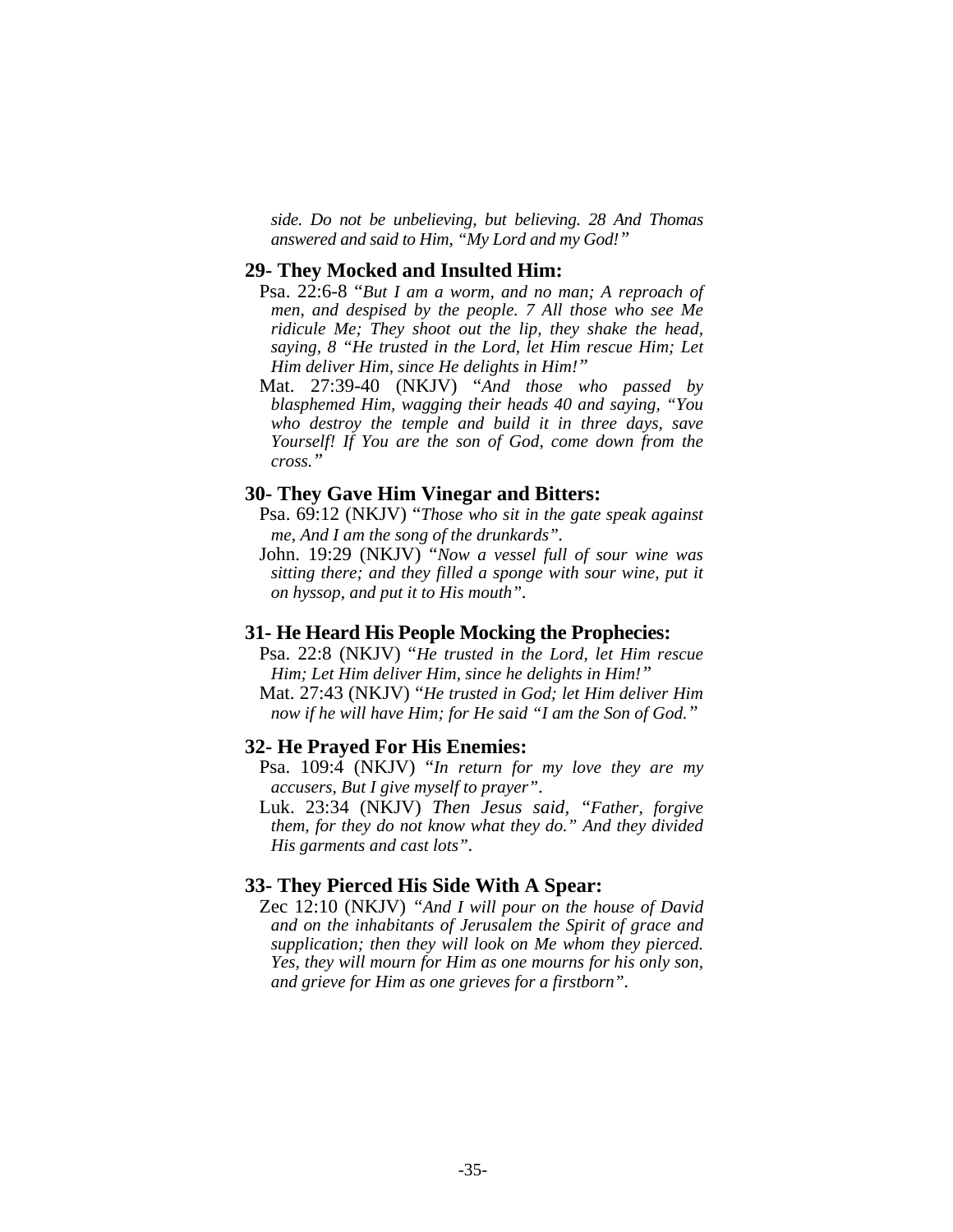*side. Do not be unbelieving, but believing. 28 And Thomas answered and said to Him, "My Lord and my God!"* 

#### **29- They Mocked and Insulted Him:**

- Psa. 22:6-8 "*But I am a worm, and no man; A reproach of men, and despised by the people. 7 All those who see Me ridicule Me; They shoot out the lip, they shake the head, saying, 8 "He trusted in the Lord, let Him rescue Him; Let Him deliver Him, since He delights in Him!"*
- Mat. 27:39-40 (NKJV) "*And those who passed by blasphemed Him, wagging their heads 40 and saying, "You who destroy the temple and build it in three days, save Yourself! If You are the son of God, come down from the cross."*

#### **30- They Gave Him Vinegar and Bitters:**

- Psa. 69:12 (NKJV) "*Those who sit in the gate speak against me, And I am the song of the drunkards".*
- John. 19:29 (NKJV) "*Now a vessel full of sour wine was sitting there; and they filled a sponge with sour wine, put it on hyssop, and put it to His mouth".*

#### **31- He Heard His People Mocking the Prophecies:**

- Psa. 22:8 (NKJV) "*He trusted in the Lord, let Him rescue Him; Let Him deliver Him, since he delights in Him!"*
- Mat. 27:43 (NKJV) "*He trusted in God; let Him deliver Him now if he will have Him; for He said "I am the Son of God."*

#### **32- He Prayed For His Enemies:**

- Psa. 109:4 (NKJV) "*In return for my love they are my accusers, But I give myself to prayer"*.
- Luk. 23:34 (NKJV) *Then Jesus said, "Father, forgive them, for they do not know what they do." And they divided His garments and cast lots".*

#### **33- They Pierced His Side With A Spear:**

 Zec 12:10 (NKJV) *"And I will pour on the house of David and on the inhabitants of Jerusalem the Spirit of grace and supplication; then they will look on Me whom they pierced. Yes, they will mourn for Him as one mourns for his only son, and grieve for Him as one grieves for a firstborn".*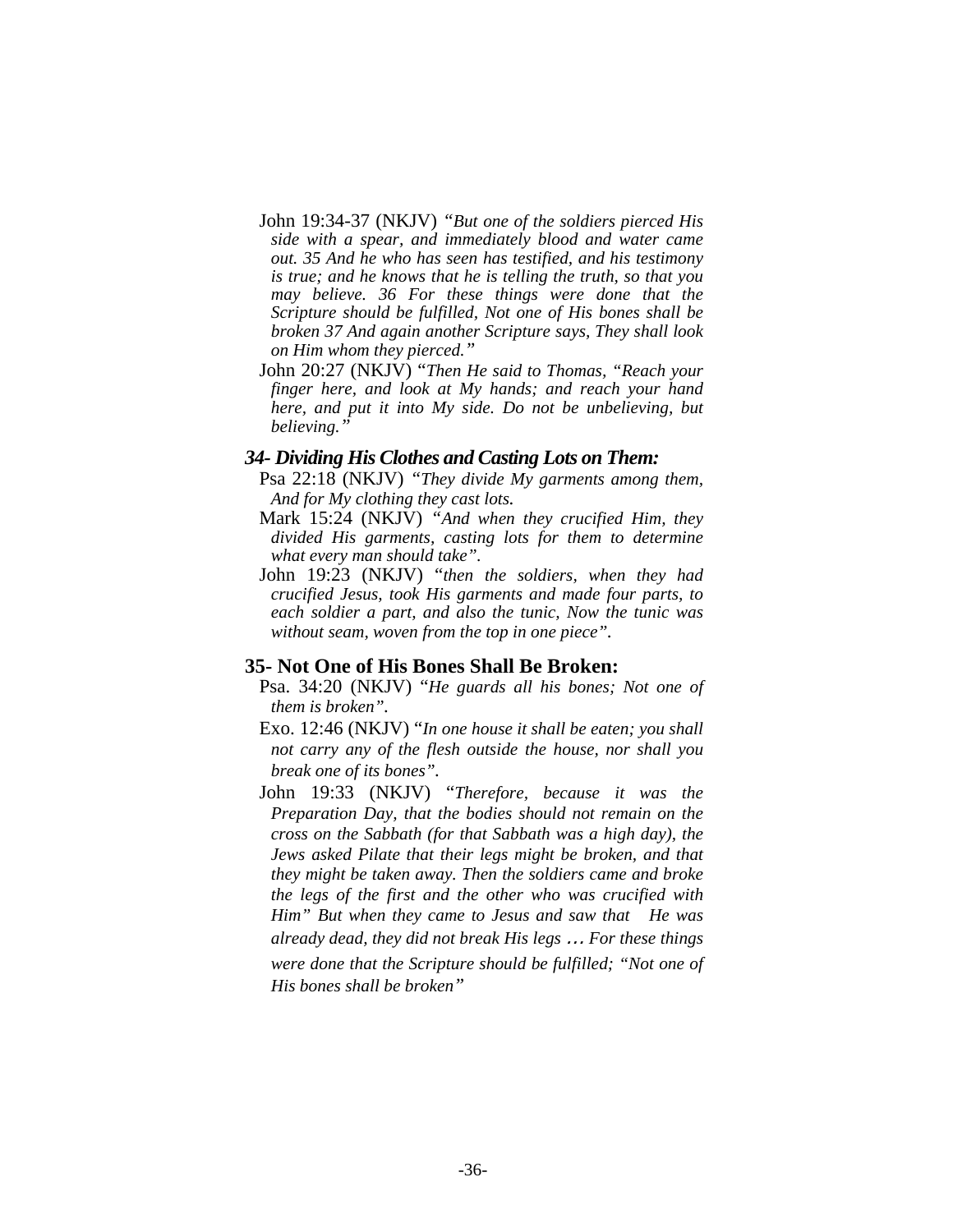- John 19:34-37 (NKJV) *"But one of the soldiers pierced His side with a spear, and immediately blood and water came out. 35 And he who has seen has testified, and his testimony is true; and he knows that he is telling the truth, so that you may believe. 36 For these things were done that the Scripture should be fulfilled, Not one of His bones shall be broken 37 And again another Scripture says, They shall look on Him whom they pierced."*
- John 20:27 (NKJV) "*Then He said to Thomas, "Reach your finger here, and look at My hands; and reach your hand here, and put it into My side. Do not be unbelieving, but believing."*

#### *34- Dividing His Clothes and Casting Lots on Them:*

- Psa 22:18 (NKJV) *"They divide My garments among them, And for My clothing they cast lots.*
- Mark 15:24 (NKJV) *"And when they crucified Him, they divided His garments, casting lots for them to determine what every man should take".*
- John 19:23 (NKJV) "*then the soldiers, when they had crucified Jesus, took His garments and made four parts, to each soldier a part, and also the tunic, Now the tunic was without seam, woven from the top in one piece".*

#### **35- Not One of His Bones Shall Be Broken:**

- Psa. 34:20 (NKJV) "*He guards all his bones; Not one of them is broken".*
- Exo. 12:46 (NKJV) "*In one house it shall be eaten; you shall not carry any of the flesh outside the house, nor shall you break one of its bones".*
- John 19:33 (NKJV) "*Therefore, because it was the Preparation Day, that the bodies should not remain on the cross on the Sabbath (for that Sabbath was a high day), the Jews asked Pilate that their legs might be broken, and that they might be taken away. Then the soldiers came and broke the legs of the first and the other who was crucified with Him" But when they came to Jesus and saw that He was already dead, they did not break His legs* … *For these things were done that the Scripture should be fulfilled; "Not one of His bones shall be broken"*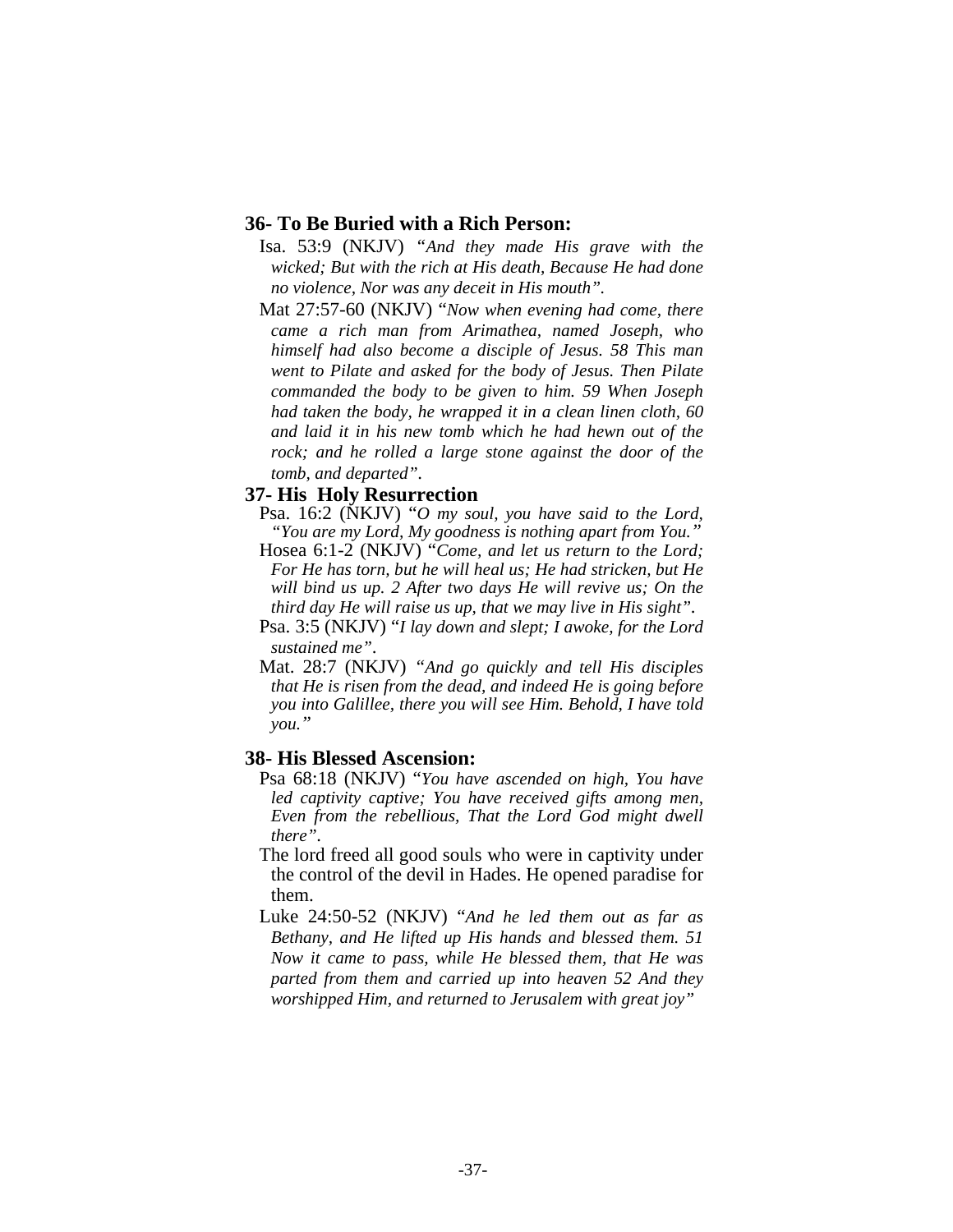# **36- To Be Buried with a Rich Person:**

- Isa. 53:9 (NKJV) *"And they made His grave with the wicked; But with the rich at His death, Because He had done no violence, Nor was any deceit in His mouth".*
- Mat 27:57-60 (NKJV) "*Now when evening had come, there came a rich man from Arimathea, named Joseph, who himself had also become a disciple of Jesus. 58 This man went to Pilate and asked for the body of Jesus. Then Pilate commanded the body to be given to him. 59 When Joseph had taken the body, he wrapped it in a clean linen cloth, 60 and laid it in his new tomb which he had hewn out of the rock; and he rolled a large stone against the door of the tomb, and departed".*

#### **37- His Holy Resurrection**

- Psa. 16:2 (NKJV) "*O my soul, you have said to the Lord, "You are my Lord, My goodness is nothing apart from You."*
- Hosea 6:1-2 (NKJV) "*Come, and let us return to the Lord; For He has torn, but he will heal us; He had stricken, but He will bind us up. 2 After two days He will revive us; On the third day He will raise us up, that we may live in His sight".*
- Psa. 3:5 (NKJV) "*I lay down and slept; I awoke, for the Lord sustained me"*.
- Mat. 28:7 (NKJV) *"And go quickly and tell His disciples that He is risen from the dead, and indeed He is going before you into Galillee, there you will see Him. Behold, I have told you."*

#### **38- His Blessed Ascension:**

- Psa 68:18 (NKJV) "*You have ascended on high, You have led captivity captive; You have received gifts among men, Even from the rebellious, That the Lord God might dwell there".*
- The lord freed all good souls who were in captivity under the control of the devil in Hades. He opened paradise for them.
- Luke 24:50-52 (NKJV) "*And he led them out as far as Bethany, and He lifted up His hands and blessed them. 51 Now it came to pass, while He blessed them, that He was parted from them and carried up into heaven 52 And they worshipped Him, and returned to Jerusalem with great joy"*